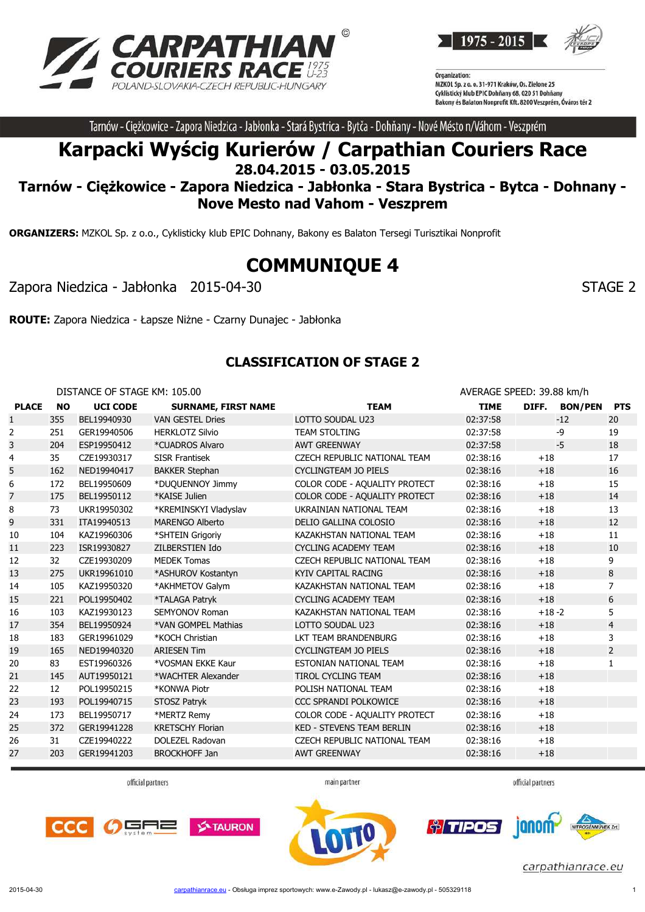



Tarnów - Ciężkowice - Zapora Niedzica - Jabłonka - Stará Bystrica - Bytča - Dohňany - Nové Mésto n/Váhom - Veszprém

# **Karpacki Wyścig Kurierów / Carpathian Couriers Race 28.04.2015 - 03.05.2015**

## **Tarnów - Ciężkowice - Zapora Niedzica - Jabłonka - Stara Bystrica - Bytca - Dohnany - Nove Mesto nad Vahom - Veszprem**

**ORGANIZERS:** MZKOL Sp. z o.o., Cyklisticky klub EPIC Dohnany, Bakony es Balaton Tersegi Turisztikai Nonprofit

# **COMMUNIQUE 4**

Zapora Niedzica - Jabłonka 2015-04-30 STAGE 2

**ROUTE:** Zapora Niedzica - Łapsze Niżne - Czarny Dunajec - Jabłonka

#### **CLASSIFICATION OF STAGE 2**

|              |           | DISTANCE OF STAGE KM: 105.00 |                            |                                  | AVERAGE SPEED: 39.88 km/h |         |               |                |
|--------------|-----------|------------------------------|----------------------------|----------------------------------|---------------------------|---------|---------------|----------------|
| <b>PLACE</b> | <b>NO</b> | <b>UCI CODE</b>              | <b>SURNAME, FIRST NAME</b> | <b>TEAM</b>                      | <b>TIME</b>               |         | DIFF. BON/PEN | <b>PTS</b>     |
| $\mathbf{1}$ | 355       | BEL19940930                  | <b>VAN GESTEL Dries</b>    | LOTTO SOUDAL U23                 | 02:37:58                  |         | $-12$         | 20             |
| 2            | 251       | GER19940506                  | <b>HERKLOTZ Silvio</b>     | <b>TEAM STOLTING</b>             | 02:37:58                  |         | $-9$          | 19             |
| 3            | 204       | ESP19950412                  | *CUADROS Alvaro            | <b>AWT GREENWAY</b>              | 02:37:58                  |         | $-5$          | 18             |
| 4            | 35        | CZE19930317                  | <b>SISR Frantisek</b>      | CZECH REPUBLIC NATIONAL TEAM     | 02:38:16                  | $+18$   |               | 17             |
| 5            | 162       | NED19940417                  | <b>BAKKER Stephan</b>      | CYCLINGTEAM JO PIELS             | 02:38:16                  | $+18$   |               | 16             |
| 6            | 172       | BEL19950609                  | *DUQUENNOY Jimmy           | COLOR CODE - AQUALITY PROTECT    | 02:38:16                  | $+18$   |               | 15             |
| 7            | 175       | BEL19950112                  | *KAISE Julien              | COLOR CODE - AQUALITY PROTECT    | 02:38:16                  | $+18$   |               | 14             |
| 8            | 73        | UKR19950302                  | *KREMINSKYI Vladyslav      | UKRAINIAN NATIONAL TEAM          | 02:38:16                  | $+18$   |               | 13             |
| 9            | 331       | ITA19940513                  | <b>MARENGO Alberto</b>     | DELIO GALLINA COLOSIO            | 02:38:16                  | $+18$   |               | 12             |
| 10           | 104       | KAZ19960306                  | *SHTEIN Grigoriy           | KAZAKHSTAN NATIONAL TEAM         | 02:38:16                  | $+18$   |               | 11             |
| 11           | 223       | ISR19930827                  | ZILBERSTIEN Ido            | <b>CYCLING ACADEMY TEAM</b>      | 02:38:16                  | $+18$   |               | 10             |
| 12           | 32        | CZE19930209                  | <b>MEDEK Tomas</b>         | CZECH REPUBLIC NATIONAL TEAM     | 02:38:16                  | $+18$   |               | 9              |
| 13           | 275       | UKR19961010                  | *ASHUROV Kostantyn         | KYIV CAPITAL RACING              | 02:38:16                  | $+18$   |               | 8              |
| 14           | 105       | KAZ19950320                  | *AKHMETOV Galym            | KAZAKHSTAN NATIONAL TEAM         | 02:38:16                  | $+18$   |               | $\overline{7}$ |
| 15           | 221       | POL19950402                  | *TALAGA Patryk             | <b>CYCLING ACADEMY TEAM</b>      | 02:38:16                  | $+18$   |               | 6              |
| 16           | 103       | KAZ19930123                  | <b>SEMYONOV Roman</b>      | KAZAKHSTAN NATIONAL TEAM         | 02:38:16                  | $+18-2$ |               | 5              |
| 17           | 354       | BEL19950924                  | *VAN GOMPEL Mathias        | LOTTO SOUDAL U23                 | 02:38:16                  | $+18$   |               | $\overline{4}$ |
| 18           | 183       | GER19961029                  | *KOCH Christian            | LKT TEAM BRANDENBURG             | 02:38:16                  | $+18$   |               | 3              |
| 19           | 165       | NED19940320                  | <b>ARIESEN Tim</b>         | <b>CYCLINGTEAM JO PIELS</b>      | 02:38:16                  | $+18$   |               | $\overline{2}$ |
| 20           | 83        | EST19960326                  | *VOSMAN EKKE Kaur          | ESTONIAN NATIONAL TEAM           | 02:38:16                  | $+18$   |               | $\mathbf{1}$   |
| 21           | 145       | AUT19950121                  | *WACHTER Alexander         | TIROL CYCLING TEAM               | 02:38:16                  | $+18$   |               |                |
| 22           | 12        | POL19950215                  | *KONWA Piotr               | POLISH NATIONAL TEAM             | 02:38:16                  | $+18$   |               |                |
| 23           | 193       | POL19940715                  | STOSZ Patryk               | <b>CCC SPRANDI POLKOWICE</b>     | 02:38:16                  | $+18$   |               |                |
| 24           | 173       | BEL19950717                  | *MERTZ Remy                | COLOR CODE - AQUALITY PROTECT    | 02:38:16                  | $+18$   |               |                |
| 25           | 372       | GER19941228                  | <b>KRETSCHY Florian</b>    | <b>KED - STEVENS TEAM BERLIN</b> | 02:38:16                  | $+18$   |               |                |
| 26           | 31        | CZE19940222                  | DOLEZEL Radovan            | CZECH REPUBLIC NATIONAL TEAM     | 02:38:16                  | $+18$   |               |                |
| 27           | 203       | GER19941203                  | <b>BROCKHOFF Jan</b>       | <b>AWT GREENWAY</b>              | 02:38:16                  | $+18$   |               |                |
|              |           |                              |                            |                                  |                           |         |               |                |

official partners

main partner

official partners





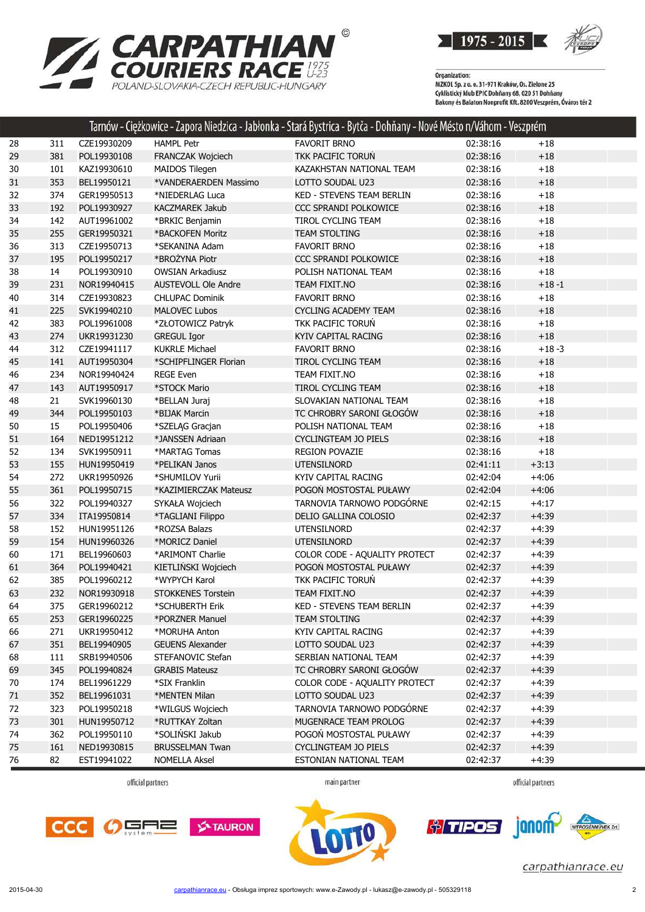

 $1975 - 2015$ 

Organization:<br>MZKOL Sp. z o. o. 31-971 Kraków, Os. Zielone 25<br>Cyklistický klub EPIC Dohňany 68, 020 51 Dohňany<br>Bakony és Balaton Nonprofit Kft. 8200 Veszprém, Óváros tér 2

| FAVORIT BRNO<br>CZE19930209<br><b>HAMPL Petr</b><br>02:38:16<br>28<br>$+18$<br>311<br>29<br>381<br>POL19930108<br>FRANCZAK Wojciech<br><b>TKK PACIFIC TORUN</b><br>02:38:16<br>$+18$<br>02:38:16<br>30<br>101<br>KAZ19930610<br>MAIDOS Tilegen<br>KAZAKHSTAN NATIONAL TEAM<br>$+18$<br>353<br>31<br>BEL19950121<br>*VANDERAERDEN Massimo<br>LOTTO SOUDAL U23<br>02:38:16<br>$+18$<br>32<br>374<br>02:38:16<br>GER19950513<br>KED - STEVENS TEAM BERLIN<br>$+18$<br>*NIEDERLAG Luca<br>33<br>192<br>CCC SPRANDI POLKOWICE<br>02:38:16<br>$+18$<br>POL19930927<br><b>KACZMAREK Jakub</b><br>34<br>142<br>02:38:16<br>$+18$<br>AUT19961002<br>*BRKIC Benjamin<br>TIROL CYCLING TEAM<br>255<br>35<br>GER19950321<br>*BACKOFEN Moritz<br>TEAM STOLTING<br>02:38:16<br>$+18$<br>36<br>313<br>02:38:16<br>$+18$<br>CZE19950713<br>*SEKANINA Adam<br><b>FAVORIT BRNO</b><br>*BROŻYNA Piotr<br>37<br>195<br>POL19950217<br>CCC SPRANDI POLKOWICE<br>02:38:16<br>$+18$<br>38<br>14<br>POL19930910<br><b>OWSIAN Arkadiusz</b><br>POLISH NATIONAL TEAM<br>02:38:16<br>$+18$<br>39<br>231<br>NOR19940415<br><b>AUSTEVOLL Ole Andre</b><br>TEAM FIXIT.NO<br>02:38:16<br>$+18 - 1$<br>40<br>314<br>CZE19930823<br><b>FAVORIT BRNO</b><br>02:38:16<br>$+18$<br><b>CHLUPAC Dominik</b><br>41<br>225<br>SVK19940210<br><b>MALOVEC Lubos</b><br><b>CYCLING ACADEMY TEAM</b><br>02:38:16<br>$+18$<br>*ZŁOTOWICZ Patryk<br>TKK PACIFIC TORUŃ<br>42<br>383<br>POL19961008<br>02:38:16<br>$+18$<br>43<br>274<br>02:38:16<br>$+18$<br>UKR19931230<br><b>GREGUL Igor</b><br>KYIV CAPITAL RACING<br>44<br>312<br><b>KUKRLE Michael</b><br><b>FAVORIT BRNO</b><br>02:38:16<br>$+18 - 3$<br>CZE19941117<br>45<br>141<br>AUT19950304<br>*SCHIPFLINGER Florian<br>TIROL CYCLING TEAM<br>02:38:16<br>$+18$<br>46<br>234<br>NOR19940424<br><b>REGE Even</b><br>TEAM FIXIT.NO<br>02:38:16<br>$+18$<br>47<br>143<br>AUT19950917<br>*STOCK Mario<br>TIROL CYCLING TEAM<br>02:38:16<br>$+18$<br>48<br>02:38:16<br>$+18$<br>21<br>SVK19960130<br>*BELLAN Juraj<br>SLOVAKIAN NATIONAL TEAM<br>*BIJAK Marcin<br>TC CHROBRY SARONI GŁOGÓW<br>49<br>344<br>POL19950103<br>02:38:16<br>$+18$<br>$+18$<br>50<br>15<br>POL19950406<br>*SZELĄG Gracjan<br>POLISH NATIONAL TEAM<br>02:38:16<br>51<br>164<br>NED19951212<br>*JANSSEN Adriaan<br><b>CYCLINGTEAM JO PIELS</b><br>02:38:16<br>$+18$<br>134<br>02:38:16<br>$+18$<br>52<br>SVK19950911<br>*MARTAG Tomas<br><b>REGION POVAZIE</b><br>53<br>155<br>02:41:11<br>$+3:13$<br>HUN19950419<br>*PELIKAN Janos<br><b>UTENSILNORD</b><br>272<br>KYIV CAPITAL RACING<br>$+4:06$<br>54<br>UKR19950926<br>*SHUMILOV Yurii<br>02:42:04<br>POGOŃ MOSTOSTAL PUŁAWY<br>55<br>361<br>02:42:04<br>$+4:06$<br>POL19950715<br>*KAZIMIERCZAK Mateusz<br>322<br>TARNOVIA TARNOWO PODGÓRNE<br>$+4:17$<br>56<br>POL19940327<br>SYKAŁA Wojciech<br>02:42:15<br>57<br>334<br>02:42:37<br>$+4:39$<br>ITA19950814<br>*TAGLIANI Filippo<br>DELIO GALLINA COLOSIO<br>152<br>*ROZSA Balazs<br>02:42:37<br>$+4:39$<br>58<br>HUN19951126<br><b>UTENSILNORD</b><br>59<br>$+4:39$<br>154<br>HUN19960326<br>*MORICZ Daniel<br><b>UTENSILNORD</b><br>02:42:37<br>COLOR CODE - AQUALITY PROTECT<br>02:42:37<br>$+4:39$<br>60<br>171<br>BEL19960603<br>*ARIMONT Charlie<br>POGOŃ MOSTOSTAL PUŁAWY<br>364<br>KIETLIŃSKI Wojciech<br>02:42:37<br>$+4:39$<br>61<br>POL19940421<br>62<br>385<br>POL19960212<br>*WYPYCH Karol<br>TKK PACIFIC TORUŃ<br>02:42:37<br>$+4:39$<br>63<br>232<br>TEAM FIXIT.NO<br>02:42:37<br>$+4:39$<br>NOR19930918<br><b>STOKKENES Torstein</b><br>375<br>GER19960212<br>KED - STEVENS TEAM BERLIN<br>02:42:37<br>$+4:39$<br>64<br>*SCHUBERTH Erik<br>$+4:39$<br>65<br>253<br>GER19960225<br>*PORZNER Manuel<br>TEAM STOLTING<br>02:42:37<br>271<br>UKR19950412<br>02:42:37<br>$+4:39$<br>66<br>*MORUHA Anton<br>KYIV CAPITAL RACING<br>351<br>$+4:39$<br>67<br>BEL19940905<br><b>GEUENS Alexander</b><br>LOTTO SOUDAL U23<br>02:42:37<br>68<br>SRB19940506<br>SERBIAN NATIONAL TEAM<br>02:42:37<br>$+4:39$<br>111<br>STEFANOVIC Stefan |  | Tarnów - Ciężkowice - Zapora Niedzica - Jabłonka - Stará Bystrica - Bytča - Dohňany - Nové Mésto n/Váhom - Veszprém |  |  |
|-----------------------------------------------------------------------------------------------------------------------------------------------------------------------------------------------------------------------------------------------------------------------------------------------------------------------------------------------------------------------------------------------------------------------------------------------------------------------------------------------------------------------------------------------------------------------------------------------------------------------------------------------------------------------------------------------------------------------------------------------------------------------------------------------------------------------------------------------------------------------------------------------------------------------------------------------------------------------------------------------------------------------------------------------------------------------------------------------------------------------------------------------------------------------------------------------------------------------------------------------------------------------------------------------------------------------------------------------------------------------------------------------------------------------------------------------------------------------------------------------------------------------------------------------------------------------------------------------------------------------------------------------------------------------------------------------------------------------------------------------------------------------------------------------------------------------------------------------------------------------------------------------------------------------------------------------------------------------------------------------------------------------------------------------------------------------------------------------------------------------------------------------------------------------------------------------------------------------------------------------------------------------------------------------------------------------------------------------------------------------------------------------------------------------------------------------------------------------------------------------------------------------------------------------------------------------------------------------------------------------------------------------------------------------------------------------------------------------------------------------------------------------------------------------------------------------------------------------------------------------------------------------------------------------------------------------------------------------------------------------------------------------------------------------------------------------------------------------------------------------------------------------------------------------------------------------------------------------------------------------------------------------------------------------------------------------------------------------------------------------------------------------------------------------------------------------------------------------------------------------------------------------------------------------------------------------------------------------------------------------------------------------------------------------------------------------------------------------------------------------------------------------------------------------------------------------------------------------------------------------------------------------------------------------------------------------------------------------------------------------------------------------------------|--|---------------------------------------------------------------------------------------------------------------------|--|--|
|                                                                                                                                                                                                                                                                                                                                                                                                                                                                                                                                                                                                                                                                                                                                                                                                                                                                                                                                                                                                                                                                                                                                                                                                                                                                                                                                                                                                                                                                                                                                                                                                                                                                                                                                                                                                                                                                                                                                                                                                                                                                                                                                                                                                                                                                                                                                                                                                                                                                                                                                                                                                                                                                                                                                                                                                                                                                                                                                                                                                                                                                                                                                                                                                                                                                                                                                                                                                                                                                                                                                                                                                                                                                                                                                                                                                                                                                                                                                                                                                                                   |  |                                                                                                                     |  |  |
|                                                                                                                                                                                                                                                                                                                                                                                                                                                                                                                                                                                                                                                                                                                                                                                                                                                                                                                                                                                                                                                                                                                                                                                                                                                                                                                                                                                                                                                                                                                                                                                                                                                                                                                                                                                                                                                                                                                                                                                                                                                                                                                                                                                                                                                                                                                                                                                                                                                                                                                                                                                                                                                                                                                                                                                                                                                                                                                                                                                                                                                                                                                                                                                                                                                                                                                                                                                                                                                                                                                                                                                                                                                                                                                                                                                                                                                                                                                                                                                                                                   |  |                                                                                                                     |  |  |
|                                                                                                                                                                                                                                                                                                                                                                                                                                                                                                                                                                                                                                                                                                                                                                                                                                                                                                                                                                                                                                                                                                                                                                                                                                                                                                                                                                                                                                                                                                                                                                                                                                                                                                                                                                                                                                                                                                                                                                                                                                                                                                                                                                                                                                                                                                                                                                                                                                                                                                                                                                                                                                                                                                                                                                                                                                                                                                                                                                                                                                                                                                                                                                                                                                                                                                                                                                                                                                                                                                                                                                                                                                                                                                                                                                                                                                                                                                                                                                                                                                   |  |                                                                                                                     |  |  |
|                                                                                                                                                                                                                                                                                                                                                                                                                                                                                                                                                                                                                                                                                                                                                                                                                                                                                                                                                                                                                                                                                                                                                                                                                                                                                                                                                                                                                                                                                                                                                                                                                                                                                                                                                                                                                                                                                                                                                                                                                                                                                                                                                                                                                                                                                                                                                                                                                                                                                                                                                                                                                                                                                                                                                                                                                                                                                                                                                                                                                                                                                                                                                                                                                                                                                                                                                                                                                                                                                                                                                                                                                                                                                                                                                                                                                                                                                                                                                                                                                                   |  |                                                                                                                     |  |  |
|                                                                                                                                                                                                                                                                                                                                                                                                                                                                                                                                                                                                                                                                                                                                                                                                                                                                                                                                                                                                                                                                                                                                                                                                                                                                                                                                                                                                                                                                                                                                                                                                                                                                                                                                                                                                                                                                                                                                                                                                                                                                                                                                                                                                                                                                                                                                                                                                                                                                                                                                                                                                                                                                                                                                                                                                                                                                                                                                                                                                                                                                                                                                                                                                                                                                                                                                                                                                                                                                                                                                                                                                                                                                                                                                                                                                                                                                                                                                                                                                                                   |  |                                                                                                                     |  |  |
|                                                                                                                                                                                                                                                                                                                                                                                                                                                                                                                                                                                                                                                                                                                                                                                                                                                                                                                                                                                                                                                                                                                                                                                                                                                                                                                                                                                                                                                                                                                                                                                                                                                                                                                                                                                                                                                                                                                                                                                                                                                                                                                                                                                                                                                                                                                                                                                                                                                                                                                                                                                                                                                                                                                                                                                                                                                                                                                                                                                                                                                                                                                                                                                                                                                                                                                                                                                                                                                                                                                                                                                                                                                                                                                                                                                                                                                                                                                                                                                                                                   |  |                                                                                                                     |  |  |
|                                                                                                                                                                                                                                                                                                                                                                                                                                                                                                                                                                                                                                                                                                                                                                                                                                                                                                                                                                                                                                                                                                                                                                                                                                                                                                                                                                                                                                                                                                                                                                                                                                                                                                                                                                                                                                                                                                                                                                                                                                                                                                                                                                                                                                                                                                                                                                                                                                                                                                                                                                                                                                                                                                                                                                                                                                                                                                                                                                                                                                                                                                                                                                                                                                                                                                                                                                                                                                                                                                                                                                                                                                                                                                                                                                                                                                                                                                                                                                                                                                   |  |                                                                                                                     |  |  |
|                                                                                                                                                                                                                                                                                                                                                                                                                                                                                                                                                                                                                                                                                                                                                                                                                                                                                                                                                                                                                                                                                                                                                                                                                                                                                                                                                                                                                                                                                                                                                                                                                                                                                                                                                                                                                                                                                                                                                                                                                                                                                                                                                                                                                                                                                                                                                                                                                                                                                                                                                                                                                                                                                                                                                                                                                                                                                                                                                                                                                                                                                                                                                                                                                                                                                                                                                                                                                                                                                                                                                                                                                                                                                                                                                                                                                                                                                                                                                                                                                                   |  |                                                                                                                     |  |  |
|                                                                                                                                                                                                                                                                                                                                                                                                                                                                                                                                                                                                                                                                                                                                                                                                                                                                                                                                                                                                                                                                                                                                                                                                                                                                                                                                                                                                                                                                                                                                                                                                                                                                                                                                                                                                                                                                                                                                                                                                                                                                                                                                                                                                                                                                                                                                                                                                                                                                                                                                                                                                                                                                                                                                                                                                                                                                                                                                                                                                                                                                                                                                                                                                                                                                                                                                                                                                                                                                                                                                                                                                                                                                                                                                                                                                                                                                                                                                                                                                                                   |  |                                                                                                                     |  |  |
|                                                                                                                                                                                                                                                                                                                                                                                                                                                                                                                                                                                                                                                                                                                                                                                                                                                                                                                                                                                                                                                                                                                                                                                                                                                                                                                                                                                                                                                                                                                                                                                                                                                                                                                                                                                                                                                                                                                                                                                                                                                                                                                                                                                                                                                                                                                                                                                                                                                                                                                                                                                                                                                                                                                                                                                                                                                                                                                                                                                                                                                                                                                                                                                                                                                                                                                                                                                                                                                                                                                                                                                                                                                                                                                                                                                                                                                                                                                                                                                                                                   |  |                                                                                                                     |  |  |
|                                                                                                                                                                                                                                                                                                                                                                                                                                                                                                                                                                                                                                                                                                                                                                                                                                                                                                                                                                                                                                                                                                                                                                                                                                                                                                                                                                                                                                                                                                                                                                                                                                                                                                                                                                                                                                                                                                                                                                                                                                                                                                                                                                                                                                                                                                                                                                                                                                                                                                                                                                                                                                                                                                                                                                                                                                                                                                                                                                                                                                                                                                                                                                                                                                                                                                                                                                                                                                                                                                                                                                                                                                                                                                                                                                                                                                                                                                                                                                                                                                   |  |                                                                                                                     |  |  |
|                                                                                                                                                                                                                                                                                                                                                                                                                                                                                                                                                                                                                                                                                                                                                                                                                                                                                                                                                                                                                                                                                                                                                                                                                                                                                                                                                                                                                                                                                                                                                                                                                                                                                                                                                                                                                                                                                                                                                                                                                                                                                                                                                                                                                                                                                                                                                                                                                                                                                                                                                                                                                                                                                                                                                                                                                                                                                                                                                                                                                                                                                                                                                                                                                                                                                                                                                                                                                                                                                                                                                                                                                                                                                                                                                                                                                                                                                                                                                                                                                                   |  |                                                                                                                     |  |  |
|                                                                                                                                                                                                                                                                                                                                                                                                                                                                                                                                                                                                                                                                                                                                                                                                                                                                                                                                                                                                                                                                                                                                                                                                                                                                                                                                                                                                                                                                                                                                                                                                                                                                                                                                                                                                                                                                                                                                                                                                                                                                                                                                                                                                                                                                                                                                                                                                                                                                                                                                                                                                                                                                                                                                                                                                                                                                                                                                                                                                                                                                                                                                                                                                                                                                                                                                                                                                                                                                                                                                                                                                                                                                                                                                                                                                                                                                                                                                                                                                                                   |  |                                                                                                                     |  |  |
|                                                                                                                                                                                                                                                                                                                                                                                                                                                                                                                                                                                                                                                                                                                                                                                                                                                                                                                                                                                                                                                                                                                                                                                                                                                                                                                                                                                                                                                                                                                                                                                                                                                                                                                                                                                                                                                                                                                                                                                                                                                                                                                                                                                                                                                                                                                                                                                                                                                                                                                                                                                                                                                                                                                                                                                                                                                                                                                                                                                                                                                                                                                                                                                                                                                                                                                                                                                                                                                                                                                                                                                                                                                                                                                                                                                                                                                                                                                                                                                                                                   |  |                                                                                                                     |  |  |
|                                                                                                                                                                                                                                                                                                                                                                                                                                                                                                                                                                                                                                                                                                                                                                                                                                                                                                                                                                                                                                                                                                                                                                                                                                                                                                                                                                                                                                                                                                                                                                                                                                                                                                                                                                                                                                                                                                                                                                                                                                                                                                                                                                                                                                                                                                                                                                                                                                                                                                                                                                                                                                                                                                                                                                                                                                                                                                                                                                                                                                                                                                                                                                                                                                                                                                                                                                                                                                                                                                                                                                                                                                                                                                                                                                                                                                                                                                                                                                                                                                   |  |                                                                                                                     |  |  |
|                                                                                                                                                                                                                                                                                                                                                                                                                                                                                                                                                                                                                                                                                                                                                                                                                                                                                                                                                                                                                                                                                                                                                                                                                                                                                                                                                                                                                                                                                                                                                                                                                                                                                                                                                                                                                                                                                                                                                                                                                                                                                                                                                                                                                                                                                                                                                                                                                                                                                                                                                                                                                                                                                                                                                                                                                                                                                                                                                                                                                                                                                                                                                                                                                                                                                                                                                                                                                                                                                                                                                                                                                                                                                                                                                                                                                                                                                                                                                                                                                                   |  |                                                                                                                     |  |  |
|                                                                                                                                                                                                                                                                                                                                                                                                                                                                                                                                                                                                                                                                                                                                                                                                                                                                                                                                                                                                                                                                                                                                                                                                                                                                                                                                                                                                                                                                                                                                                                                                                                                                                                                                                                                                                                                                                                                                                                                                                                                                                                                                                                                                                                                                                                                                                                                                                                                                                                                                                                                                                                                                                                                                                                                                                                                                                                                                                                                                                                                                                                                                                                                                                                                                                                                                                                                                                                                                                                                                                                                                                                                                                                                                                                                                                                                                                                                                                                                                                                   |  |                                                                                                                     |  |  |
|                                                                                                                                                                                                                                                                                                                                                                                                                                                                                                                                                                                                                                                                                                                                                                                                                                                                                                                                                                                                                                                                                                                                                                                                                                                                                                                                                                                                                                                                                                                                                                                                                                                                                                                                                                                                                                                                                                                                                                                                                                                                                                                                                                                                                                                                                                                                                                                                                                                                                                                                                                                                                                                                                                                                                                                                                                                                                                                                                                                                                                                                                                                                                                                                                                                                                                                                                                                                                                                                                                                                                                                                                                                                                                                                                                                                                                                                                                                                                                                                                                   |  |                                                                                                                     |  |  |
|                                                                                                                                                                                                                                                                                                                                                                                                                                                                                                                                                                                                                                                                                                                                                                                                                                                                                                                                                                                                                                                                                                                                                                                                                                                                                                                                                                                                                                                                                                                                                                                                                                                                                                                                                                                                                                                                                                                                                                                                                                                                                                                                                                                                                                                                                                                                                                                                                                                                                                                                                                                                                                                                                                                                                                                                                                                                                                                                                                                                                                                                                                                                                                                                                                                                                                                                                                                                                                                                                                                                                                                                                                                                                                                                                                                                                                                                                                                                                                                                                                   |  |                                                                                                                     |  |  |
|                                                                                                                                                                                                                                                                                                                                                                                                                                                                                                                                                                                                                                                                                                                                                                                                                                                                                                                                                                                                                                                                                                                                                                                                                                                                                                                                                                                                                                                                                                                                                                                                                                                                                                                                                                                                                                                                                                                                                                                                                                                                                                                                                                                                                                                                                                                                                                                                                                                                                                                                                                                                                                                                                                                                                                                                                                                                                                                                                                                                                                                                                                                                                                                                                                                                                                                                                                                                                                                                                                                                                                                                                                                                                                                                                                                                                                                                                                                                                                                                                                   |  |                                                                                                                     |  |  |
|                                                                                                                                                                                                                                                                                                                                                                                                                                                                                                                                                                                                                                                                                                                                                                                                                                                                                                                                                                                                                                                                                                                                                                                                                                                                                                                                                                                                                                                                                                                                                                                                                                                                                                                                                                                                                                                                                                                                                                                                                                                                                                                                                                                                                                                                                                                                                                                                                                                                                                                                                                                                                                                                                                                                                                                                                                                                                                                                                                                                                                                                                                                                                                                                                                                                                                                                                                                                                                                                                                                                                                                                                                                                                                                                                                                                                                                                                                                                                                                                                                   |  |                                                                                                                     |  |  |
|                                                                                                                                                                                                                                                                                                                                                                                                                                                                                                                                                                                                                                                                                                                                                                                                                                                                                                                                                                                                                                                                                                                                                                                                                                                                                                                                                                                                                                                                                                                                                                                                                                                                                                                                                                                                                                                                                                                                                                                                                                                                                                                                                                                                                                                                                                                                                                                                                                                                                                                                                                                                                                                                                                                                                                                                                                                                                                                                                                                                                                                                                                                                                                                                                                                                                                                                                                                                                                                                                                                                                                                                                                                                                                                                                                                                                                                                                                                                                                                                                                   |  |                                                                                                                     |  |  |
|                                                                                                                                                                                                                                                                                                                                                                                                                                                                                                                                                                                                                                                                                                                                                                                                                                                                                                                                                                                                                                                                                                                                                                                                                                                                                                                                                                                                                                                                                                                                                                                                                                                                                                                                                                                                                                                                                                                                                                                                                                                                                                                                                                                                                                                                                                                                                                                                                                                                                                                                                                                                                                                                                                                                                                                                                                                                                                                                                                                                                                                                                                                                                                                                                                                                                                                                                                                                                                                                                                                                                                                                                                                                                                                                                                                                                                                                                                                                                                                                                                   |  |                                                                                                                     |  |  |
|                                                                                                                                                                                                                                                                                                                                                                                                                                                                                                                                                                                                                                                                                                                                                                                                                                                                                                                                                                                                                                                                                                                                                                                                                                                                                                                                                                                                                                                                                                                                                                                                                                                                                                                                                                                                                                                                                                                                                                                                                                                                                                                                                                                                                                                                                                                                                                                                                                                                                                                                                                                                                                                                                                                                                                                                                                                                                                                                                                                                                                                                                                                                                                                                                                                                                                                                                                                                                                                                                                                                                                                                                                                                                                                                                                                                                                                                                                                                                                                                                                   |  |                                                                                                                     |  |  |
|                                                                                                                                                                                                                                                                                                                                                                                                                                                                                                                                                                                                                                                                                                                                                                                                                                                                                                                                                                                                                                                                                                                                                                                                                                                                                                                                                                                                                                                                                                                                                                                                                                                                                                                                                                                                                                                                                                                                                                                                                                                                                                                                                                                                                                                                                                                                                                                                                                                                                                                                                                                                                                                                                                                                                                                                                                                                                                                                                                                                                                                                                                                                                                                                                                                                                                                                                                                                                                                                                                                                                                                                                                                                                                                                                                                                                                                                                                                                                                                                                                   |  |                                                                                                                     |  |  |
|                                                                                                                                                                                                                                                                                                                                                                                                                                                                                                                                                                                                                                                                                                                                                                                                                                                                                                                                                                                                                                                                                                                                                                                                                                                                                                                                                                                                                                                                                                                                                                                                                                                                                                                                                                                                                                                                                                                                                                                                                                                                                                                                                                                                                                                                                                                                                                                                                                                                                                                                                                                                                                                                                                                                                                                                                                                                                                                                                                                                                                                                                                                                                                                                                                                                                                                                                                                                                                                                                                                                                                                                                                                                                                                                                                                                                                                                                                                                                                                                                                   |  |                                                                                                                     |  |  |
|                                                                                                                                                                                                                                                                                                                                                                                                                                                                                                                                                                                                                                                                                                                                                                                                                                                                                                                                                                                                                                                                                                                                                                                                                                                                                                                                                                                                                                                                                                                                                                                                                                                                                                                                                                                                                                                                                                                                                                                                                                                                                                                                                                                                                                                                                                                                                                                                                                                                                                                                                                                                                                                                                                                                                                                                                                                                                                                                                                                                                                                                                                                                                                                                                                                                                                                                                                                                                                                                                                                                                                                                                                                                                                                                                                                                                                                                                                                                                                                                                                   |  |                                                                                                                     |  |  |
|                                                                                                                                                                                                                                                                                                                                                                                                                                                                                                                                                                                                                                                                                                                                                                                                                                                                                                                                                                                                                                                                                                                                                                                                                                                                                                                                                                                                                                                                                                                                                                                                                                                                                                                                                                                                                                                                                                                                                                                                                                                                                                                                                                                                                                                                                                                                                                                                                                                                                                                                                                                                                                                                                                                                                                                                                                                                                                                                                                                                                                                                                                                                                                                                                                                                                                                                                                                                                                                                                                                                                                                                                                                                                                                                                                                                                                                                                                                                                                                                                                   |  |                                                                                                                     |  |  |
|                                                                                                                                                                                                                                                                                                                                                                                                                                                                                                                                                                                                                                                                                                                                                                                                                                                                                                                                                                                                                                                                                                                                                                                                                                                                                                                                                                                                                                                                                                                                                                                                                                                                                                                                                                                                                                                                                                                                                                                                                                                                                                                                                                                                                                                                                                                                                                                                                                                                                                                                                                                                                                                                                                                                                                                                                                                                                                                                                                                                                                                                                                                                                                                                                                                                                                                                                                                                                                                                                                                                                                                                                                                                                                                                                                                                                                                                                                                                                                                                                                   |  |                                                                                                                     |  |  |
|                                                                                                                                                                                                                                                                                                                                                                                                                                                                                                                                                                                                                                                                                                                                                                                                                                                                                                                                                                                                                                                                                                                                                                                                                                                                                                                                                                                                                                                                                                                                                                                                                                                                                                                                                                                                                                                                                                                                                                                                                                                                                                                                                                                                                                                                                                                                                                                                                                                                                                                                                                                                                                                                                                                                                                                                                                                                                                                                                                                                                                                                                                                                                                                                                                                                                                                                                                                                                                                                                                                                                                                                                                                                                                                                                                                                                                                                                                                                                                                                                                   |  |                                                                                                                     |  |  |
|                                                                                                                                                                                                                                                                                                                                                                                                                                                                                                                                                                                                                                                                                                                                                                                                                                                                                                                                                                                                                                                                                                                                                                                                                                                                                                                                                                                                                                                                                                                                                                                                                                                                                                                                                                                                                                                                                                                                                                                                                                                                                                                                                                                                                                                                                                                                                                                                                                                                                                                                                                                                                                                                                                                                                                                                                                                                                                                                                                                                                                                                                                                                                                                                                                                                                                                                                                                                                                                                                                                                                                                                                                                                                                                                                                                                                                                                                                                                                                                                                                   |  |                                                                                                                     |  |  |
|                                                                                                                                                                                                                                                                                                                                                                                                                                                                                                                                                                                                                                                                                                                                                                                                                                                                                                                                                                                                                                                                                                                                                                                                                                                                                                                                                                                                                                                                                                                                                                                                                                                                                                                                                                                                                                                                                                                                                                                                                                                                                                                                                                                                                                                                                                                                                                                                                                                                                                                                                                                                                                                                                                                                                                                                                                                                                                                                                                                                                                                                                                                                                                                                                                                                                                                                                                                                                                                                                                                                                                                                                                                                                                                                                                                                                                                                                                                                                                                                                                   |  |                                                                                                                     |  |  |
|                                                                                                                                                                                                                                                                                                                                                                                                                                                                                                                                                                                                                                                                                                                                                                                                                                                                                                                                                                                                                                                                                                                                                                                                                                                                                                                                                                                                                                                                                                                                                                                                                                                                                                                                                                                                                                                                                                                                                                                                                                                                                                                                                                                                                                                                                                                                                                                                                                                                                                                                                                                                                                                                                                                                                                                                                                                                                                                                                                                                                                                                                                                                                                                                                                                                                                                                                                                                                                                                                                                                                                                                                                                                                                                                                                                                                                                                                                                                                                                                                                   |  |                                                                                                                     |  |  |
|                                                                                                                                                                                                                                                                                                                                                                                                                                                                                                                                                                                                                                                                                                                                                                                                                                                                                                                                                                                                                                                                                                                                                                                                                                                                                                                                                                                                                                                                                                                                                                                                                                                                                                                                                                                                                                                                                                                                                                                                                                                                                                                                                                                                                                                                                                                                                                                                                                                                                                                                                                                                                                                                                                                                                                                                                                                                                                                                                                                                                                                                                                                                                                                                                                                                                                                                                                                                                                                                                                                                                                                                                                                                                                                                                                                                                                                                                                                                                                                                                                   |  |                                                                                                                     |  |  |
|                                                                                                                                                                                                                                                                                                                                                                                                                                                                                                                                                                                                                                                                                                                                                                                                                                                                                                                                                                                                                                                                                                                                                                                                                                                                                                                                                                                                                                                                                                                                                                                                                                                                                                                                                                                                                                                                                                                                                                                                                                                                                                                                                                                                                                                                                                                                                                                                                                                                                                                                                                                                                                                                                                                                                                                                                                                                                                                                                                                                                                                                                                                                                                                                                                                                                                                                                                                                                                                                                                                                                                                                                                                                                                                                                                                                                                                                                                                                                                                                                                   |  |                                                                                                                     |  |  |
|                                                                                                                                                                                                                                                                                                                                                                                                                                                                                                                                                                                                                                                                                                                                                                                                                                                                                                                                                                                                                                                                                                                                                                                                                                                                                                                                                                                                                                                                                                                                                                                                                                                                                                                                                                                                                                                                                                                                                                                                                                                                                                                                                                                                                                                                                                                                                                                                                                                                                                                                                                                                                                                                                                                                                                                                                                                                                                                                                                                                                                                                                                                                                                                                                                                                                                                                                                                                                                                                                                                                                                                                                                                                                                                                                                                                                                                                                                                                                                                                                                   |  |                                                                                                                     |  |  |
|                                                                                                                                                                                                                                                                                                                                                                                                                                                                                                                                                                                                                                                                                                                                                                                                                                                                                                                                                                                                                                                                                                                                                                                                                                                                                                                                                                                                                                                                                                                                                                                                                                                                                                                                                                                                                                                                                                                                                                                                                                                                                                                                                                                                                                                                                                                                                                                                                                                                                                                                                                                                                                                                                                                                                                                                                                                                                                                                                                                                                                                                                                                                                                                                                                                                                                                                                                                                                                                                                                                                                                                                                                                                                                                                                                                                                                                                                                                                                                                                                                   |  |                                                                                                                     |  |  |
|                                                                                                                                                                                                                                                                                                                                                                                                                                                                                                                                                                                                                                                                                                                                                                                                                                                                                                                                                                                                                                                                                                                                                                                                                                                                                                                                                                                                                                                                                                                                                                                                                                                                                                                                                                                                                                                                                                                                                                                                                                                                                                                                                                                                                                                                                                                                                                                                                                                                                                                                                                                                                                                                                                                                                                                                                                                                                                                                                                                                                                                                                                                                                                                                                                                                                                                                                                                                                                                                                                                                                                                                                                                                                                                                                                                                                                                                                                                                                                                                                                   |  |                                                                                                                     |  |  |
|                                                                                                                                                                                                                                                                                                                                                                                                                                                                                                                                                                                                                                                                                                                                                                                                                                                                                                                                                                                                                                                                                                                                                                                                                                                                                                                                                                                                                                                                                                                                                                                                                                                                                                                                                                                                                                                                                                                                                                                                                                                                                                                                                                                                                                                                                                                                                                                                                                                                                                                                                                                                                                                                                                                                                                                                                                                                                                                                                                                                                                                                                                                                                                                                                                                                                                                                                                                                                                                                                                                                                                                                                                                                                                                                                                                                                                                                                                                                                                                                                                   |  |                                                                                                                     |  |  |
|                                                                                                                                                                                                                                                                                                                                                                                                                                                                                                                                                                                                                                                                                                                                                                                                                                                                                                                                                                                                                                                                                                                                                                                                                                                                                                                                                                                                                                                                                                                                                                                                                                                                                                                                                                                                                                                                                                                                                                                                                                                                                                                                                                                                                                                                                                                                                                                                                                                                                                                                                                                                                                                                                                                                                                                                                                                                                                                                                                                                                                                                                                                                                                                                                                                                                                                                                                                                                                                                                                                                                                                                                                                                                                                                                                                                                                                                                                                                                                                                                                   |  |                                                                                                                     |  |  |
|                                                                                                                                                                                                                                                                                                                                                                                                                                                                                                                                                                                                                                                                                                                                                                                                                                                                                                                                                                                                                                                                                                                                                                                                                                                                                                                                                                                                                                                                                                                                                                                                                                                                                                                                                                                                                                                                                                                                                                                                                                                                                                                                                                                                                                                                                                                                                                                                                                                                                                                                                                                                                                                                                                                                                                                                                                                                                                                                                                                                                                                                                                                                                                                                                                                                                                                                                                                                                                                                                                                                                                                                                                                                                                                                                                                                                                                                                                                                                                                                                                   |  |                                                                                                                     |  |  |
| 345<br>TC CHROBRY SARONI GŁOGÓW<br>02:42:37<br>$+4:39$<br>69<br>POL19940824<br><b>GRABIS Mateusz</b>                                                                                                                                                                                                                                                                                                                                                                                                                                                                                                                                                                                                                                                                                                                                                                                                                                                                                                                                                                                                                                                                                                                                                                                                                                                                                                                                                                                                                                                                                                                                                                                                                                                                                                                                                                                                                                                                                                                                                                                                                                                                                                                                                                                                                                                                                                                                                                                                                                                                                                                                                                                                                                                                                                                                                                                                                                                                                                                                                                                                                                                                                                                                                                                                                                                                                                                                                                                                                                                                                                                                                                                                                                                                                                                                                                                                                                                                                                                              |  |                                                                                                                     |  |  |
| *SIX Franklin<br>$+4:39$<br>70<br>174<br>BEL19961229<br>COLOR CODE - AQUALITY PROTECT<br>02:42:37                                                                                                                                                                                                                                                                                                                                                                                                                                                                                                                                                                                                                                                                                                                                                                                                                                                                                                                                                                                                                                                                                                                                                                                                                                                                                                                                                                                                                                                                                                                                                                                                                                                                                                                                                                                                                                                                                                                                                                                                                                                                                                                                                                                                                                                                                                                                                                                                                                                                                                                                                                                                                                                                                                                                                                                                                                                                                                                                                                                                                                                                                                                                                                                                                                                                                                                                                                                                                                                                                                                                                                                                                                                                                                                                                                                                                                                                                                                                 |  |                                                                                                                     |  |  |
| 352<br>*MENTEN Milan<br>LOTTO SOUDAL U23<br>02:42:37<br>$+4:39$<br>71<br>BEL19961031                                                                                                                                                                                                                                                                                                                                                                                                                                                                                                                                                                                                                                                                                                                                                                                                                                                                                                                                                                                                                                                                                                                                                                                                                                                                                                                                                                                                                                                                                                                                                                                                                                                                                                                                                                                                                                                                                                                                                                                                                                                                                                                                                                                                                                                                                                                                                                                                                                                                                                                                                                                                                                                                                                                                                                                                                                                                                                                                                                                                                                                                                                                                                                                                                                                                                                                                                                                                                                                                                                                                                                                                                                                                                                                                                                                                                                                                                                                                              |  |                                                                                                                     |  |  |
| 323<br>TARNOVIA TARNOWO PODGÓRNE<br>$+4:39$<br>72<br>POL19950218<br>*WILGUS Wojciech<br>02:42:37                                                                                                                                                                                                                                                                                                                                                                                                                                                                                                                                                                                                                                                                                                                                                                                                                                                                                                                                                                                                                                                                                                                                                                                                                                                                                                                                                                                                                                                                                                                                                                                                                                                                                                                                                                                                                                                                                                                                                                                                                                                                                                                                                                                                                                                                                                                                                                                                                                                                                                                                                                                                                                                                                                                                                                                                                                                                                                                                                                                                                                                                                                                                                                                                                                                                                                                                                                                                                                                                                                                                                                                                                                                                                                                                                                                                                                                                                                                                  |  |                                                                                                                     |  |  |
| *RUTTKAY Zoltan<br>MUGENRACE TEAM PROLOG<br>$+4:39$<br>73<br>301<br>HUN19950712<br>02:42:37                                                                                                                                                                                                                                                                                                                                                                                                                                                                                                                                                                                                                                                                                                                                                                                                                                                                                                                                                                                                                                                                                                                                                                                                                                                                                                                                                                                                                                                                                                                                                                                                                                                                                                                                                                                                                                                                                                                                                                                                                                                                                                                                                                                                                                                                                                                                                                                                                                                                                                                                                                                                                                                                                                                                                                                                                                                                                                                                                                                                                                                                                                                                                                                                                                                                                                                                                                                                                                                                                                                                                                                                                                                                                                                                                                                                                                                                                                                                       |  |                                                                                                                     |  |  |
| *SOLIŃSKI Jakub<br>POGOŃ MOSTOSTAL PUŁAWY<br>74<br>362<br>02:42:37<br>$+4:39$<br>POL19950110                                                                                                                                                                                                                                                                                                                                                                                                                                                                                                                                                                                                                                                                                                                                                                                                                                                                                                                                                                                                                                                                                                                                                                                                                                                                                                                                                                                                                                                                                                                                                                                                                                                                                                                                                                                                                                                                                                                                                                                                                                                                                                                                                                                                                                                                                                                                                                                                                                                                                                                                                                                                                                                                                                                                                                                                                                                                                                                                                                                                                                                                                                                                                                                                                                                                                                                                                                                                                                                                                                                                                                                                                                                                                                                                                                                                                                                                                                                                      |  |                                                                                                                     |  |  |
| 75<br>161<br>$+4:39$<br>NED19930815<br><b>BRUSSELMAN Twan</b><br><b>CYCLINGTEAM JO PIELS</b><br>02:42:37                                                                                                                                                                                                                                                                                                                                                                                                                                                                                                                                                                                                                                                                                                                                                                                                                                                                                                                                                                                                                                                                                                                                                                                                                                                                                                                                                                                                                                                                                                                                                                                                                                                                                                                                                                                                                                                                                                                                                                                                                                                                                                                                                                                                                                                                                                                                                                                                                                                                                                                                                                                                                                                                                                                                                                                                                                                                                                                                                                                                                                                                                                                                                                                                                                                                                                                                                                                                                                                                                                                                                                                                                                                                                                                                                                                                                                                                                                                          |  |                                                                                                                     |  |  |
| 76<br>82<br><b>NOMELLA Aksel</b><br>ESTONIAN NATIONAL TEAM<br>02:42:37<br>$+4:39$<br>EST19941022                                                                                                                                                                                                                                                                                                                                                                                                                                                                                                                                                                                                                                                                                                                                                                                                                                                                                                                                                                                                                                                                                                                                                                                                                                                                                                                                                                                                                                                                                                                                                                                                                                                                                                                                                                                                                                                                                                                                                                                                                                                                                                                                                                                                                                                                                                                                                                                                                                                                                                                                                                                                                                                                                                                                                                                                                                                                                                                                                                                                                                                                                                                                                                                                                                                                                                                                                                                                                                                                                                                                                                                                                                                                                                                                                                                                                                                                                                                                  |  |                                                                                                                     |  |  |

official partners

main partner

official partners





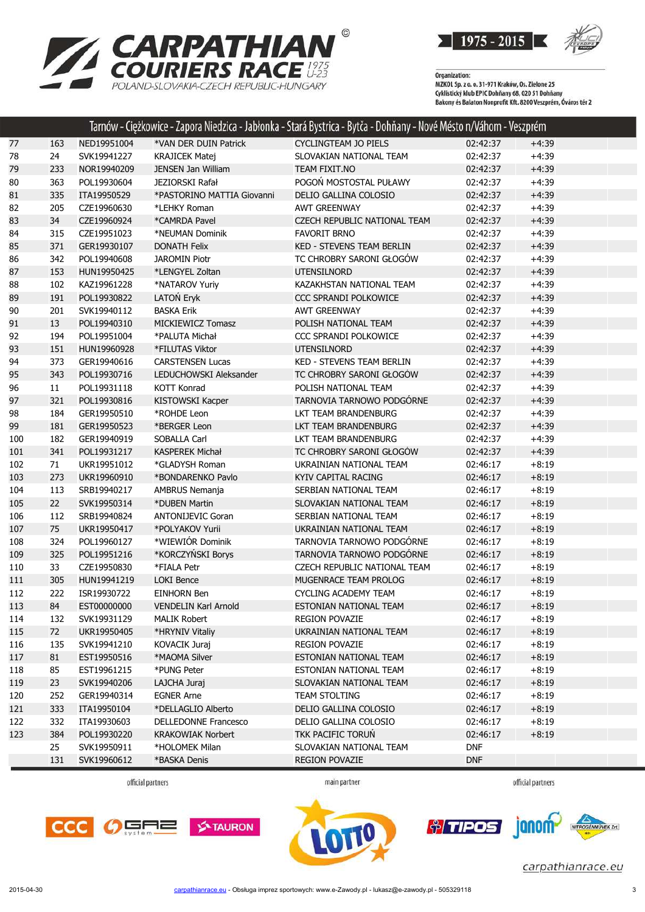



Organization:<br>MZKOL Sp. z o. o. 31-971 Kraków, Os. Zielone 25<br>MZKUL SLL: LL: FRIC D. bărev CO. 020 EL D. băr Cyklistický klub EPIC Dohňany 68, 020 51 Dohňany<br>Cyklistický klub EPIC Dohňany 68, 020 51 Dohňany<br>Bakony és Balaton Nonprofit Kft. 8200 Veszprém, Óváros tér 2

|     |     |             |                             | Tarnów - Ciężkowice - Zapora Niedzica - Jabłonka - Stará Bystrica - Bytča - Dohňany - Nové Mésto n/Váhom - Veszprém |            |         |
|-----|-----|-------------|-----------------------------|---------------------------------------------------------------------------------------------------------------------|------------|---------|
| 77  | 163 | NED19951004 | *VAN DER DUIN Patrick       | <b>CYCLINGTEAM JO PIELS</b>                                                                                         | 02:42:37   | $+4:39$ |
| 78  | 24  | SVK19941227 | <b>KRAJICEK Matej</b>       | SLOVAKIAN NATIONAL TEAM                                                                                             | 02:42:37   | $+4:39$ |
| 79  | 233 | NOR19940209 | <b>JENSEN Jan William</b>   | TEAM FIXIT.NO                                                                                                       | 02:42:37   | $+4:39$ |
| 80  | 363 | POL19930604 | <b>JEZIORSKI Rafał</b>      | POGOŃ MOSTOSTAL PUŁAWY                                                                                              | 02:42:37   | $+4:39$ |
| 81  | 335 | ITA19950529 | *PASTORINO MATTIA Giovanni  | DELIO GALLINA COLOSIO                                                                                               | 02:42:37   | $+4:39$ |
| 82  | 205 | CZE19960630 | *LEHKY Roman                | <b>AWT GREENWAY</b>                                                                                                 | 02:42:37   | $+4:39$ |
| 83  | 34  | CZE19960924 | *CAMRDA Pavel               | <b>CZECH REPUBLIC NATIONAL TEAM</b>                                                                                 | 02:42:37   | $+4:39$ |
| 84  | 315 | CZE19951023 | *NEUMAN Dominik             | <b>FAVORIT BRNO</b>                                                                                                 | 02:42:37   | $+4:39$ |
| 85  | 371 | GER19930107 | <b>DONATH Felix</b>         | <b>KED - STEVENS TEAM BERLIN</b>                                                                                    | 02:42:37   | $+4:39$ |
| 86  | 342 | POL19940608 | <b>JAROMIN Piotr</b>        | TC CHROBRY SARONI GŁOGÓW                                                                                            | 02:42:37   | $+4:39$ |
| 87  | 153 | HUN19950425 | *LENGYEL Zoltan             | <b>UTENSILNORD</b>                                                                                                  | 02:42:37   | $+4:39$ |
| 88  | 102 | KAZ19961228 | *NATAROV Yuriy              | KAZAKHSTAN NATIONAL TEAM                                                                                            | 02:42:37   | $+4:39$ |
| 89  | 191 | POL19930822 | LATOŃ Eryk                  | CCC SPRANDI POLKOWICE                                                                                               | 02:42:37   | $+4:39$ |
| 90  | 201 | SVK19940112 | <b>BASKA Erik</b>           | <b>AWT GREENWAY</b>                                                                                                 | 02:42:37   | $+4:39$ |
| 91  | 13  | POL19940310 | <b>MICKIEWICZ Tomasz</b>    | POLISH NATIONAL TEAM                                                                                                | 02:42:37   | $+4:39$ |
| 92  | 194 | POL19951004 | *PALUTA Michał              | CCC SPRANDI POLKOWICE                                                                                               | 02:42:37   | $+4:39$ |
| 93  | 151 | HUN19960928 | *FILUTAS Viktor             | <b>UTENSILNORD</b>                                                                                                  | 02:42:37   | $+4:39$ |
| 94  | 373 | GER19940616 | <b>CARSTENSEN Lucas</b>     | KED - STEVENS TEAM BERLIN                                                                                           | 02:42:37   | $+4:39$ |
| 95  | 343 | POL19930716 | LEDUCHOWSKI Aleksander      | TC CHROBRY SARONI GŁOGÓW                                                                                            | 02:42:37   | $+4:39$ |
| 96  | 11  | POL19931118 | KOTT Konrad                 | POLISH NATIONAL TEAM                                                                                                | 02:42:37   | $+4:39$ |
| 97  | 321 | POL19930816 | KISTOWSKI Kacper            | TARNOVIA TARNOWO PODGÓRNE                                                                                           | 02:42:37   | $+4:39$ |
| 98  | 184 | GER19950510 | *ROHDE Leon                 | LKT TEAM BRANDENBURG                                                                                                | 02:42:37   | $+4:39$ |
| 99  | 181 | GER19950523 | *BERGER Leon                | LKT TEAM BRANDENBURG                                                                                                | 02:42:37   | $+4:39$ |
| 100 | 182 | GER19940919 | SOBALLA Carl                | LKT TEAM BRANDENBURG                                                                                                | 02:42:37   | $+4:39$ |
| 101 | 341 | POL19931217 | <b>KASPEREK Michał</b>      | TC CHROBRY SARONI GŁOGÓW                                                                                            | 02:42:37   | $+4:39$ |
| 102 | 71  | UKR19951012 | *GLADYSH Roman              | UKRAINIAN NATIONAL TEAM                                                                                             | 02:46:17   | $+8:19$ |
| 103 | 273 | UKR19960910 | *BONDARENKO Pavlo           | <b>KYIV CAPITAL RACING</b>                                                                                          | 02:46:17   | $+8:19$ |
| 104 | 113 | SRB19940217 | <b>AMBRUS Nemanja</b>       | SERBIAN NATIONAL TEAM                                                                                               | 02:46:17   | $+8:19$ |
| 105 | 22  | SVK19950314 | *DUBEN Martin               | SLOVAKIAN NATIONAL TEAM                                                                                             | 02:46:17   | $+8:19$ |
| 106 | 112 | SRB19940824 | <b>ANTONIJEVIC Goran</b>    | SERBIAN NATIONAL TEAM                                                                                               | 02:46:17   | $+8:19$ |
| 107 | 75  | UKR19950417 | *POLYAKOV Yurii             | UKRAINIAN NATIONAL TEAM                                                                                             | 02:46:17   | $+8:19$ |
| 108 | 324 | POL19960127 | *WIEWIÓR Dominik            | TARNOVIA TARNOWO PODGÓRNE                                                                                           | 02:46:17   | $+8:19$ |
| 109 | 325 | POL19951216 | *KORCZYŃSKI Borys           | TARNOVIA TARNOWO PODGÓRNE                                                                                           | 02:46:17   | $+8:19$ |
| 110 | 33  | CZE19950830 | *FIALA Petr                 | CZECH REPUBLIC NATIONAL TEAM                                                                                        | 02:46:17   | $+8:19$ |
| 111 | 305 | HUN19941219 | <b>LOKI Bence</b>           | MUGENRACE TEAM PROLOG                                                                                               | 02:46:17   | $+8:19$ |
| 112 | 222 | ISR19930722 | <b>EINHORN Ben</b>          | <b>CYCLING ACADEMY TEAM</b>                                                                                         | 02:46:17   | $+8:19$ |
| 113 | 84  | EST00000000 | <b>VENDELIN Karl Arnold</b> | ESTONIAN NATIONAL TEAM                                                                                              | 02:46:17   | $+8:19$ |
| 114 | 132 | SVK19931129 | <b>MALIK Robert</b>         | <b>REGION POVAZIE</b>                                                                                               | 02:46:17   | $+8:19$ |
| 115 | 72  | UKR19950405 | *HRYNIV Vitaliy             | UKRAINIAN NATIONAL TEAM                                                                                             | 02:46:17   | $+8:19$ |
| 116 | 135 | SVK19941210 | KOVACIK Juraj               | <b>REGION POVAZIE</b>                                                                                               | 02:46:17   | $+8:19$ |
| 117 | 81  | EST19950516 | *MAOMA Silver               | ESTONIAN NATIONAL TEAM                                                                                              | 02:46:17   | $+8:19$ |
| 118 | 85  | EST19961215 | *PUNG Peter                 | ESTONIAN NATIONAL TEAM                                                                                              | 02:46:17   | $+8:19$ |
| 119 | 23  | SVK19940206 | LAJCHA Juraj                | SLOVAKIAN NATIONAL TEAM                                                                                             | 02:46:17   | $+8:19$ |
| 120 | 252 | GER19940314 | <b>EGNER Arne</b>           | <b>TEAM STOLTING</b>                                                                                                | 02:46:17   | $+8:19$ |
| 121 | 333 | ITA19950104 | *DELLAGLIO Alberto          | DELIO GALLINA COLOSIO                                                                                               | 02:46:17   | $+8:19$ |
| 122 | 332 | ITA19930603 | <b>DELLEDONNE Francesco</b> | DELIO GALLINA COLOSIO                                                                                               | 02:46:17   | $+8:19$ |
| 123 | 384 | POL19930220 | <b>KRAKOWIAK Norbert</b>    | TKK PACIFIC TORUN                                                                                                   | 02:46:17   | $+8:19$ |
|     | 25  | SVK19950911 | *HOLOMEK Milan              | SLOVAKIAN NATIONAL TEAM                                                                                             | <b>DNF</b> |         |
|     | 131 | SVK19960612 | *BASKA Denis                | <b>REGION POVAZIE</b>                                                                                               | <b>DNF</b> |         |

official partners

main partner

official partners





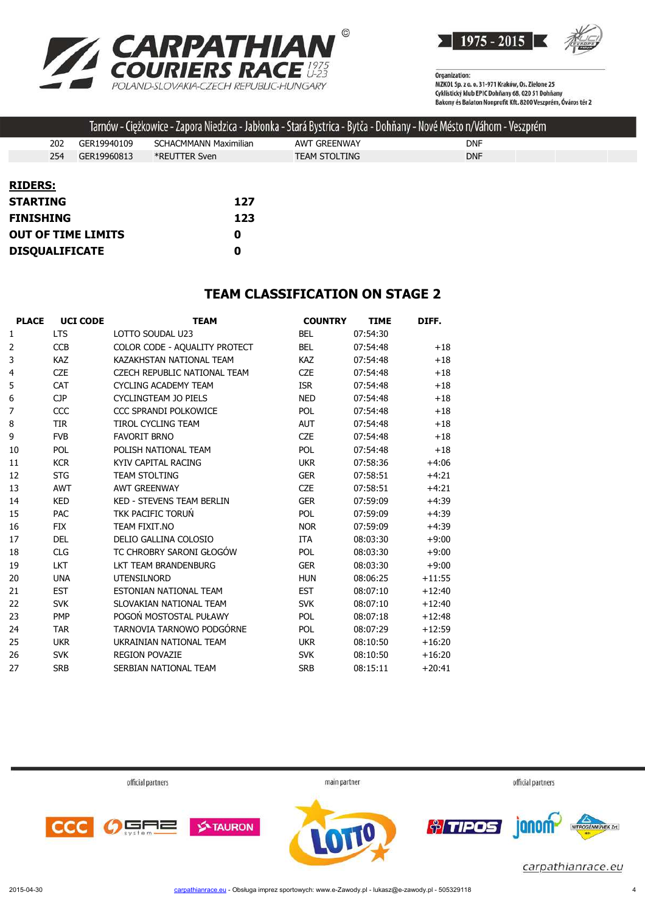



Organization:<br>MZKOL Sp. z o. o. 31-971 Kraków, Os. Zielone 25 Cyklistický klub EPIC Dohňany 68, 020 51 Dohňany<br>Cyklistický klub EPIC Dohňany 68, 020 51 Dohňany<br>Bakony és Balaton Nonprofit Kft. 8200 Veszprém, Óváros tér 2

|                           |  |             |                              |     |                      | Tarnów - Ciężkowice - Zapora Niedzica - Jabłonka - Stará Bystrica - Bytča - Dohňany - Nové Mésto n/Váhom - Veszprém |            |  |
|---------------------------|--|-------------|------------------------------|-----|----------------------|---------------------------------------------------------------------------------------------------------------------|------------|--|
| 202                       |  | GER19940109 | <b>SCHACMMANN Maximilian</b> |     | <b>AWT GREENWAY</b>  |                                                                                                                     | <b>DNF</b> |  |
| 254                       |  | GER19960813 | *REUTTER Sven                |     | <b>TEAM STOLTING</b> |                                                                                                                     | <b>DNF</b> |  |
|                           |  |             |                              |     |                      |                                                                                                                     |            |  |
| <b>RIDERS:</b>            |  |             |                              |     |                      |                                                                                                                     |            |  |
| <b>STARTING</b>           |  |             |                              | 127 |                      |                                                                                                                     |            |  |
| <b>FINISHING</b>          |  | 123         |                              |     |                      |                                                                                                                     |            |  |
| <b>OUT OF TIME LIMITS</b> |  | 0           |                              |     |                      |                                                                                                                     |            |  |
| <b>DISQUALIFICATE</b>     |  | 0           |                              |     |                      |                                                                                                                     |            |  |

#### **TEAM CLASSIFICATION ON STAGE 2**

| <b>PLACE</b>   | <b>UCI CODE</b> | <b>TEAM</b>                      | <b>COUNTRY</b> | <b>TIME</b> | DIFF.    |
|----------------|-----------------|----------------------------------|----------------|-------------|----------|
| 1              | <b>LTS</b>      | LOTTO SOUDAL U23                 | <b>BEL</b>     | 07:54:30    |          |
| 2              | <b>CCB</b>      | COLOR CODE - AQUALITY PROTECT    | <b>BEL</b>     | 07:54:48    | $+18$    |
| 3              | <b>KAZ</b>      | KAZAKHSTAN NATIONAL TEAM         | <b>KAZ</b>     | 07:54:48    | $+18$    |
| 4              | <b>CZE</b>      | CZECH REPUBLIC NATIONAL TEAM     | <b>CZE</b>     | 07:54:48    | $+18$    |
| 5              | <b>CAT</b>      | <b>CYCLING ACADEMY TEAM</b>      | <b>ISR</b>     | 07:54:48    | $+18$    |
| 6              | <b>CJP</b>      | <b>CYCLINGTEAM JO PIELS</b>      | <b>NED</b>     | 07:54:48    | $+18$    |
| $\overline{7}$ | CCC             | CCC SPRANDI POLKOWICE            | <b>POL</b>     | 07:54:48    | $+18$    |
| 8              | <b>TIR</b>      | <b>TIROL CYCLING TEAM</b>        | <b>AUT</b>     | 07:54:48    | $+18$    |
| 9              | <b>FVB</b>      | <b>FAVORIT BRNO</b>              | <b>CZE</b>     | 07:54:48    | $+18$    |
| 10             | <b>POL</b>      | POLISH NATIONAL TEAM             | <b>POL</b>     | 07:54:48    | $+18$    |
| 11             | <b>KCR</b>      | KYIV CAPITAL RACING              | <b>UKR</b>     | 07:58:36    | $+4:06$  |
| 12             | <b>STG</b>      | <b>TFAM STOLTING</b>             | <b>GER</b>     | 07:58:51    | $+4:21$  |
| 13             | <b>AWT</b>      | <b>AWT GREENWAY</b>              | <b>CZE</b>     | 07:58:51    | $+4:21$  |
| 14             | <b>KED</b>      | <b>KED - STEVENS TEAM BERLIN</b> | <b>GER</b>     | 07:59:09    | $+4:39$  |
| 15             | <b>PAC</b>      | TKK PACIFIC TORUŃ                | <b>POL</b>     | 07:59:09    | $+4:39$  |
| 16             | <b>FIX</b>      | TEAM FIXIT.NO                    | <b>NOR</b>     | 07:59:09    | $+4:39$  |
| 17             | <b>DEL</b>      | DELIO GALLINA COLOSIO            | <b>ITA</b>     | 08:03:30    | $+9:00$  |
| 18             | <b>CLG</b>      | TC CHROBRY SARONI GŁOGÓW         | <b>POL</b>     | 08:03:30    | $+9:00$  |
| 19             | <b>LKT</b>      | LKT TEAM BRANDENBURG             | <b>GER</b>     | 08:03:30    | $+9:00$  |
| 20             | <b>UNA</b>      | <b>UTENSILNORD</b>               | <b>HUN</b>     | 08:06:25    | $+11:55$ |
| 21             | <b>EST</b>      | ESTONIAN NATIONAL TEAM           | <b>EST</b>     | 08:07:10    | $+12:40$ |
| 22             | <b>SVK</b>      | SLOVAKIAN NATIONAL TEAM          | <b>SVK</b>     | 08:07:10    | $+12:40$ |
| 23             | <b>PMP</b>      | POGOŃ MOSTOSTAL PUŁAWY           | <b>POL</b>     | 08:07:18    | $+12:48$ |
| 24             | <b>TAR</b>      | TARNOVIA TARNOWO PODGÓRNE        | POL            | 08:07:29    | $+12:59$ |
| 25             | <b>UKR</b>      | UKRAINIAN NATIONAL TEAM          | <b>UKR</b>     | 08:10:50    | $+16:20$ |
| 26             | <b>SVK</b>      | <b>REGION POVAZIE</b>            | <b>SVK</b>     | 08:10:50    | $+16:20$ |
| 27             | <b>SRB</b>      | SERBIAN NATIONAL TEAM            | <b>SRB</b>     | 08:15:11    | $+20:41$ |
|                |                 |                                  |                |             |          |

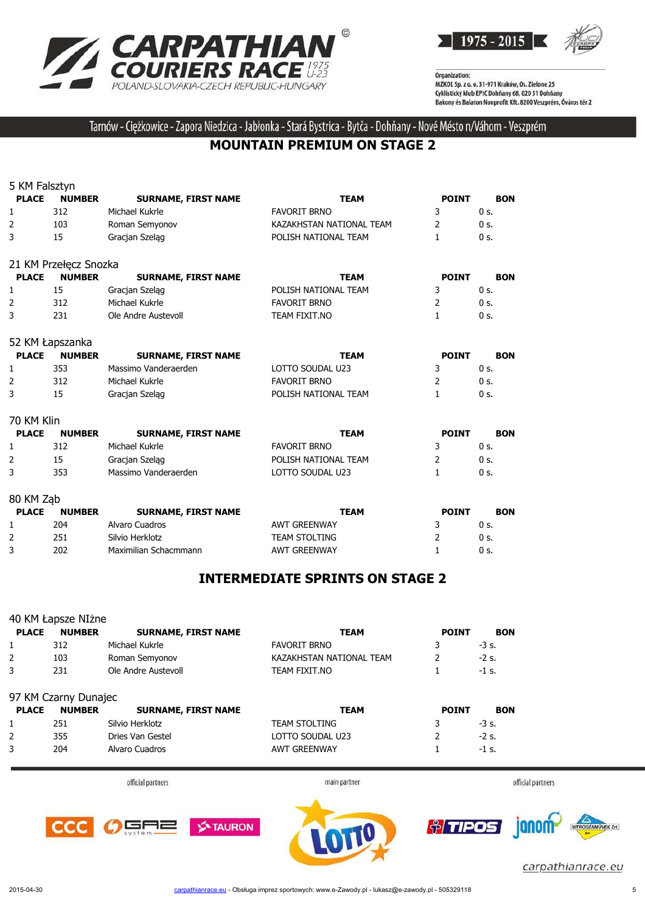



Tarnów - Ciężkowice - Zapora Niedzica - Jabłonka - Stará Bystrica - Bytča - Dohňany - Nové Mésto n/Váhom - Veszprém

#### **MOUNTAIN PREMIUM ON STAGE 2**

| 5 KM Falsztyn  |                       |                            |                          |              |                |
|----------------|-----------------------|----------------------------|--------------------------|--------------|----------------|
| <b>PLACE</b>   | <b>NUMBER</b>         | <b>SURNAME, FIRST NAME</b> | <b>TEAM</b>              | <b>POINT</b> | <b>BON</b>     |
| 1              | 312                   | Michael Kukrle             | <b>FAVORIT BRNO</b>      | 3            | $0s$ .         |
| $\overline{2}$ | 103                   | Roman Semyonov             | KAZAKHSTAN NATIONAL TEAM | 2            | $0s$ .         |
| 3              | 15                    | Gracian Szelag             | POLISH NATIONAL TEAM     | $\mathbf{1}$ | $0s$ .         |
|                | 21 KM Przełęcz Snozka |                            |                          |              |                |
| <b>PLACE</b>   | <b>NUMBER</b>         | <b>SURNAME, FIRST NAME</b> | <b>TEAM</b>              | <b>POINT</b> | <b>BON</b>     |
| 1              | 15                    | Gracjan Szeląg             | POLISH NATIONAL TEAM     | 3            | 0 <sub>s</sub> |
| $\overline{2}$ | 312                   | Michael Kukrle             | <b>FAVORIT BRNO</b>      | 2            | $0s$ .         |
| 3              | 231                   | Ole Andre Austevoll        | TEAM FIXIT.NO            | 1            | $0s$ .         |
|                | 52 KM Łapszanka       |                            |                          |              |                |
| <b>PLACE</b>   | <b>NUMBER</b>         | <b>SURNAME, FIRST NAME</b> | <b>TEAM</b>              | <b>POINT</b> | <b>BON</b>     |
| 1              | 353                   | Massimo Vanderaerden       | LOTTO SOUDAL U23         | 3            | $0s$ .         |
| 2              | 312                   | Michael Kukrle             | <b>FAVORIT BRNO</b>      | 2            | $0s$ .         |
| 3              | 15                    | Gracjan Szelag             | POLISH NATIONAL TEAM     | $\mathbf{1}$ | $0s$ .         |
| 70 KM Klin     |                       |                            |                          |              |                |
| <b>PLACE</b>   | <b>NUMBER</b>         | <b>SURNAME, FIRST NAME</b> | <b>TEAM</b>              | <b>POINT</b> | <b>BON</b>     |
| 1              | 312                   | Michael Kukrle             | <b>FAVORIT BRNO</b>      | 3            | 0 <sub>s</sub> |
| 2              | 15                    | Gracjan Szeląg             | POLISH NATIONAL TEAM     | 2            | $0s$ .         |
| 3              | 353                   | Massimo Vanderaerden       | LOTTO SOUDAL U23         | $\mathbf{1}$ | $0s$ .         |
| 80 KM Ząb      |                       |                            |                          |              |                |
| <b>PLACE</b>   | <b>NUMBER</b>         | <b>SURNAME, FIRST NAME</b> | <b>TEAM</b>              | <b>POINT</b> | <b>BON</b>     |
| 1              | 204                   | Alvaro Cuadros             | <b>AWT GREENWAY</b>      | 3            | 0 <sub>s</sub> |
| $\overline{2}$ | 251                   | Silvio Herklotz            | <b>TEAM STOLTING</b>     | 2            | $0s$ .         |
| 3              | 202                   | Maximilian Schacmmann      | <b>AWT GREENWAY</b>      | 1            | 0 s.           |

#### **INTERMEDIATE SPRINTS ON STAGE 2**

|                | 40 KM Łapsze NIżne   |                            |                          |              |                   |
|----------------|----------------------|----------------------------|--------------------------|--------------|-------------------|
| <b>PLACE</b>   | <b>NUMBER</b>        | <b>SURNAME, FIRST NAME</b> | <b>TEAM</b>              | <b>POINT</b> | <b>BON</b>        |
| 1              | 312                  | Michael Kukrle             | <b>FAVORIT BRNO</b>      | 3            | $-3s.$            |
| $\overline{2}$ | 103                  | Roman Semyonov             | KAZAKHSTAN NATIONAL TEAM | 2            | $-2s$ .           |
| 3              | 231                  | Ole Andre Austevoll        | TEAM FIXIT.NO            |              | $-1$ s.           |
|                | 97 KM Czarny Dunajec |                            |                          |              |                   |
| <b>PLACE</b>   | <b>NUMBER</b>        | <b>SURNAME, FIRST NAME</b> | <b>TEAM</b>              | <b>POINT</b> | <b>BON</b>        |
| 1              | 251                  | Silvio Herklotz            | <b>TEAM STOLTING</b>     | 3            | $-3s.$            |
| 2              | 355                  | Dries Van Gestel           | LOTTO SOUDAL U23         | 2            | $-2s$ .           |
| 3              | 204                  | Alvaro Cuadros             | <b>AWT GREENWAY</b>      |              | $-1$ s.           |
|                |                      |                            |                          |              |                   |
|                |                      | official partners          | main partner             |              | official partners |



carpathianrace.eu

**CCC** 

╕⋶

œF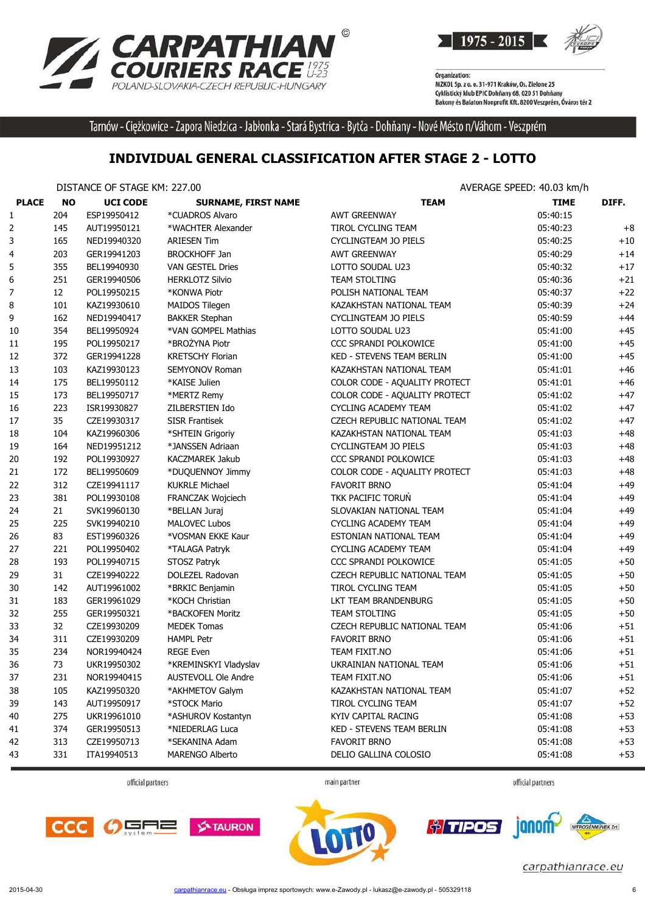



Tarnów - Ciężkowice - Zapora Niedzica - Jabłonka - Stará Bystrica - Bytča - Dohňany - Nové Mésto n/Váhom - Veszprém

#### **INDIVIDUAL GENERAL CLASSIFICATION AFTER STAGE 2 - LOTTO**

DISTANCE OF STAGE KM: 227.00 AVERAGE SPEED: 40.03 km/h

|              |           | <b>DIJIANCE OF JIAOL N'IL ZZI.00</b> |                            |                               | AVLNAUL JELLU. TUJUJ NIIIII |       |
|--------------|-----------|--------------------------------------|----------------------------|-------------------------------|-----------------------------|-------|
| <b>PLACE</b> | <b>NO</b> | <b>UCI CODE</b>                      | <b>SURNAME, FIRST NAME</b> | <b>TEAM</b>                   | <b>TIME</b>                 | DIFF. |
| 1            | 204       | ESP19950412                          | *CUADROS Alvaro            | <b>AWT GREENWAY</b>           | 05:40:15                    |       |
| 2            | 145       | AUT19950121                          | *WACHTER Alexander         | TIROL CYCLING TEAM            | 05:40:23                    | $+8$  |
| 3            | 165       | NED19940320                          | <b>ARIESEN Tim</b>         | CYCLINGTEAM JO PIELS          | 05:40:25                    | $+10$ |
| 4            | 203       | GER19941203                          | <b>BROCKHOFF Jan</b>       | <b>AWT GREENWAY</b>           | 05:40:29                    | $+14$ |
| 5            | 355       | BEL19940930                          | <b>VAN GESTEL Dries</b>    | LOTTO SOUDAL U23              | 05:40:32                    | $+17$ |
| 6            | 251       | GER19940506                          | <b>HERKLOTZ Silvio</b>     | TEAM STOLTING                 | 05:40:36                    | $+21$ |
| 7            | 12        | POL19950215                          | *KONWA Piotr               | POLISH NATIONAL TEAM          | 05:40:37                    | $+22$ |
| 8            | 101       | KAZ19930610                          | MAIDOS Tilegen             | KAZAKHSTAN NATIONAL TEAM      | 05:40:39                    | $+24$ |
| 9            | 162       | NED19940417                          | <b>BAKKER Stephan</b>      | <b>CYCLINGTEAM JO PIELS</b>   | 05:40:59                    | $+44$ |
| 10           | 354       | BEL19950924                          | *VAN GOMPEL Mathias        | LOTTO SOUDAL U23              | 05:41:00                    | $+45$ |
| 11           | 195       | POL19950217                          | *BROŻYNA Piotr             | CCC SPRANDI POLKOWICE         | 05:41:00                    | $+45$ |
| 12           | 372       | GER19941228                          | <b>KRETSCHY Florian</b>    | KED - STEVENS TEAM BERLIN     | 05:41:00                    | $+45$ |
| 13           | 103       | KAZ19930123                          | SEMYONOV Roman             | KAZAKHSTAN NATIONAL TEAM      | 05:41:01                    | $+46$ |
| 14           | 175       | BEL19950112                          | *KAISE Julien              | COLOR CODE - AQUALITY PROTECT | 05:41:01                    | $+46$ |
| 15           | 173       | BEL19950717                          | *MERTZ Remy                | COLOR CODE - AQUALITY PROTECT | 05:41:02                    | $+47$ |
| 16           | 223       | ISR19930827                          | ZILBERSTIEN Ido            | <b>CYCLING ACADEMY TEAM</b>   | 05:41:02                    | $+47$ |
| 17           | 35        | CZE19930317                          | <b>SISR Frantisek</b>      | CZECH REPUBLIC NATIONAL TEAM  | 05:41:02                    | $+47$ |
| 18           | 104       | KAZ19960306                          | *SHTEIN Grigoriy           | KAZAKHSTAN NATIONAL TEAM      | 05:41:03                    | $+48$ |
| 19           | 164       | NED19951212                          | *JANSSEN Adriaan           | CYCLINGTEAM JO PIELS          | 05:41:03                    | $+48$ |
| 20           | 192       | POL19930927                          | KACZMAREK Jakub            | CCC SPRANDI POLKOWICE         | 05:41:03                    | $+48$ |
| 21           | 172       | BEL19950609                          | *DUQUENNOY Jimmy           | COLOR CODE - AQUALITY PROTECT | 05:41:03                    | $+48$ |
| 22           | 312       | CZE19941117                          | <b>KUKRLE Michael</b>      | <b>FAVORIT BRNO</b>           | 05:41:04                    | $+49$ |
| 23           | 381       | POL19930108                          | FRANCZAK Wojciech          | TKK PACIFIC TORUN             | 05:41:04                    | $+49$ |
| 24           | 21        | SVK19960130                          | *BELLAN Juraj              | SLOVAKIAN NATIONAL TEAM       | 05:41:04                    | $+49$ |
| 25           | 225       | SVK19940210                          | <b>MALOVEC Lubos</b>       | <b>CYCLING ACADEMY TEAM</b>   | 05:41:04                    | $+49$ |
| 26           | 83        | EST19960326                          | *VOSMAN EKKE Kaur          | ESTONIAN NATIONAL TEAM        | 05:41:04                    | $+49$ |
| 27           | 221       | POL19950402                          | *TALAGA Patryk             | <b>CYCLING ACADEMY TEAM</b>   | 05:41:04                    | $+49$ |
| 28           | 193       | POL19940715                          | STOSZ Patryk               | CCC SPRANDI POLKOWICE         | 05:41:05                    | $+50$ |
| 29           | 31        | CZE19940222                          | DOLEZEL Radovan            | CZECH REPUBLIC NATIONAL TEAM  | 05:41:05                    | $+50$ |
| 30           | 142       | AUT19961002                          | *BRKIC Benjamin            | TIROL CYCLING TEAM            | 05:41:05                    | $+50$ |
| 31           | 183       | GER19961029                          | *KOCH Christian            | LKT TEAM BRANDENBURG          | 05:41:05                    | $+50$ |
| 32           | 255       | GER19950321                          | *BACKOFEN Moritz           | <b>TEAM STOLTING</b>          | 05:41:05                    | $+50$ |
| 33           | 32        | CZE19930209                          | <b>MEDEK Tomas</b>         | CZECH REPUBLIC NATIONAL TEAM  | 05:41:06                    | $+51$ |
| 34           | 311       | CZE19930209                          | <b>HAMPL Petr</b>          | <b>FAVORIT BRNO</b>           | 05:41:06                    | $+51$ |
| 35           | 234       | NOR19940424                          | <b>REGE Even</b>           | TEAM FIXIT.NO                 | 05:41:06                    | $+51$ |
| 36           | 73        | UKR19950302                          | *KREMINSKYI Vladyslav      | UKRAINIAN NATIONAL TEAM       | 05:41:06                    | $+51$ |
| 37           | 231       | NOR19940415                          | <b>AUSTEVOLL Ole Andre</b> | TEAM FIXIT.NO                 | 05:41:06                    | +51   |
| 38           | 105       | KAZ19950320                          | *AKHMETOV Galym            | KAZAKHSTAN NATIONAL TEAM      | 05:41:07                    | $+52$ |
| 39           | 143       | AUT19950917                          | *STOCK Mario               | TIROL CYCLING TEAM            | 05:41:07                    | $+52$ |
| 40           | 275       | UKR19961010                          | *ASHUROV Kostantyn         | KYIV CAPITAL RACING           | 05:41:08                    | $+53$ |
| 41           | 374       | GER19950513                          | *NIEDERLAG Luca            | KED - STEVENS TEAM BERLIN     | 05:41:08                    | $+53$ |
| 42           | 313       | CZE19950713                          | *SEKANINA Adam             | <b>FAVORIT BRNO</b>           | 05:41:08                    | $+53$ |
| 43           | 331       | ITA19940513                          | MARENGO Alberto            | DELIO GALLINA COLOSIO         | 05:41:08                    | $+53$ |
|              |           |                                      |                            |                               |                             |       |

official partners

main partner

official partners







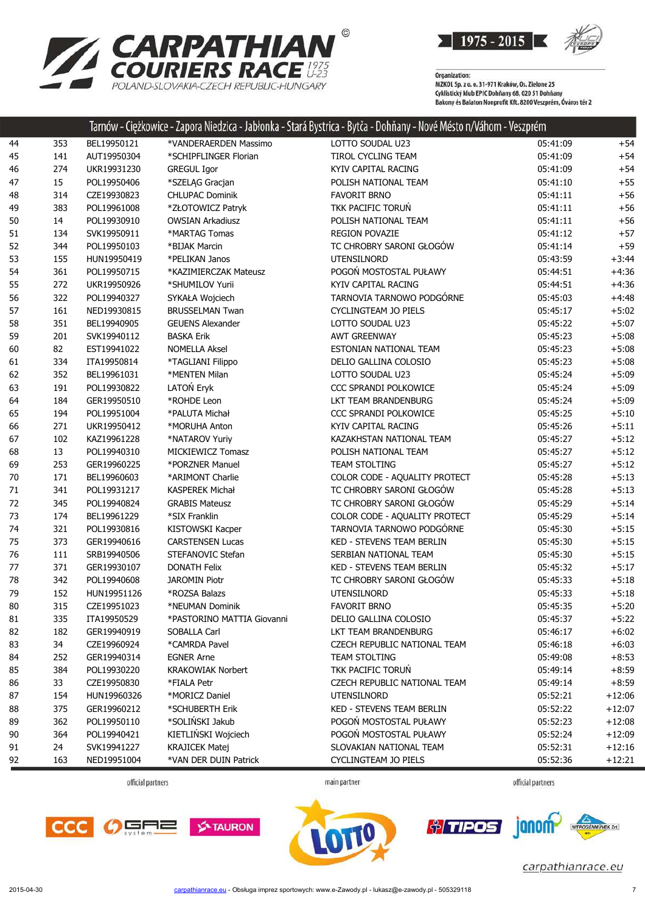

 $\sim 11$ 

|      |     |                            |                                   | Tarnow - Ciężkowice - Zapora Niedzica - Jabłonka - Stara Bystrica - Bytca - Donnany - Nove Mesto n/Vanom - Veszprem |          |          |
|------|-----|----------------------------|-----------------------------------|---------------------------------------------------------------------------------------------------------------------|----------|----------|
| 44   | 353 | BEL19950121                | *VANDERAERDEN Massimo             | LOTTO SOUDAL U23                                                                                                    | 05:41:09 | $+54$    |
| 45   | 141 | AUT19950304                | *SCHIPFLINGER Florian             | TIROL CYCLING TEAM                                                                                                  | 05:41:09 | $+54$    |
| 46   | 274 | UKR19931230                | <b>GREGUL Igor</b>                | KYIV CAPITAL RACING                                                                                                 | 05:41:09 | $+54$    |
| 47   | 15  | POL19950406                | *SZELĄG Gracjan                   | POLISH NATIONAL TEAM                                                                                                | 05:41:10 | $+55$    |
| 48   | 314 | CZE19930823                | <b>CHLUPAC Dominik</b>            | <b>FAVORIT BRNO</b>                                                                                                 | 05:41:11 | $+56$    |
| 49   | 383 | POL19961008                | *ZŁOTOWICZ Patryk                 | TKK PACIFIC TORUŃ                                                                                                   | 05:41:11 | $+56$    |
| 50   | 14  | POL19930910                | <b>OWSIAN Arkadiusz</b>           | POLISH NATIONAL TEAM                                                                                                | 05:41:11 | $+56$    |
| 51   | 134 | SVK19950911                | *MARTAG Tomas                     | <b>REGION POVAZIE</b>                                                                                               | 05:41:12 | $+57$    |
| 52   | 344 | POL19950103                | *BIJAK Marcin                     | TC CHROBRY SARONI GŁOGÓW                                                                                            | 05:41:14 | $+59$    |
| 53   | 155 | HUN19950419                | *PELIKAN Janos                    | <b>UTENSILNORD</b>                                                                                                  | 05:43:59 | $+3:44$  |
| 54   | 361 | POL19950715                | *KAZIMIERCZAK Mateusz             | POGOŃ MOSTOSTAL PUŁAWY                                                                                              | 05:44:51 | $+4:36$  |
| 55   | 272 | UKR19950926                | *SHUMILOV Yurii                   | KYIV CAPITAL RACING                                                                                                 | 05:44:51 | $+4:36$  |
| 56   | 322 | POL19940327                | SYKAŁA Wojciech                   | TARNOVIA TARNOWO PODGÓRNE                                                                                           | 05:45:03 | $+4:48$  |
| 57   | 161 | NED19930815                | <b>BRUSSELMAN Twan</b>            | CYCLINGTEAM JO PIELS                                                                                                | 05:45:17 | $+5:02$  |
| 58   | 351 | BEL19940905                | <b>GEUENS Alexander</b>           | LOTTO SOUDAL U23                                                                                                    | 05:45:22 | $+5:07$  |
| 59   | 201 | SVK19940112                | <b>BASKA Erik</b>                 | <b>AWT GREENWAY</b>                                                                                                 | 05:45:23 | $+5:08$  |
| 60   | 82  | EST19941022                | <b>NOMELLA Aksel</b>              | ESTONIAN NATIONAL TEAM                                                                                              | 05:45:23 | $+5:08$  |
| 61   | 334 | ITA19950814                | *TAGLIANI Filippo                 | DELIO GALLINA COLOSIO                                                                                               | 05:45:23 | $+5:08$  |
| 62   | 352 | BEL19961031                | *MENTEN Milan                     | LOTTO SOUDAL U23                                                                                                    | 05:45:24 | $+5:09$  |
| 63   | 191 | POL19930822                | LATOŃ Eryk                        | CCC SPRANDI POLKOWICE                                                                                               | 05:45:24 | $+5:09$  |
| 64   | 184 | GER19950510                | *ROHDE Leon                       | LKT TEAM BRANDENBURG                                                                                                | 05:45:24 | $+5:09$  |
| 65   | 194 | POL19951004                | *PALUTA Michał                    | CCC SPRANDI POLKOWICE                                                                                               | 05:45:25 | $+5:10$  |
| 66   | 271 | UKR19950412                | *MORUHA Anton                     | KYIV CAPITAL RACING                                                                                                 | 05:45:26 | $+5:11$  |
| 67   | 102 | KAZ19961228                | *NATAROV Yuriy                    | KAZAKHSTAN NATIONAL TEAM                                                                                            | 05:45:27 | $+5:12$  |
| 68   | 13  | POL19940310                | MICKIEWICZ Tomasz                 | POLISH NATIONAL TEAM                                                                                                | 05:45:27 | $+5:12$  |
| 69   | 253 | GER19960225                | *PORZNER Manuel                   | <b>TEAM STOLTING</b>                                                                                                | 05:45:27 | $+5:12$  |
| 70   | 171 | BEL19960603                | *ARIMONT Charlie                  | COLOR CODE - AQUALITY PROTECT                                                                                       | 05:45:28 | $+5:13$  |
| 71   | 341 | POL19931217                | <b>KASPEREK Michał</b>            | TC CHROBRY SARONI GŁOGÓW                                                                                            | 05:45:28 | $+5:13$  |
| 72   | 345 | POL19940824                | <b>GRABIS Mateusz</b>             | TC CHROBRY SARONI GŁOGÓW                                                                                            | 05:45:29 | $+5:14$  |
| 73   | 174 | BEL19961229                | *SIX Franklin                     | COLOR CODE - AQUALITY PROTECT                                                                                       | 05:45:29 | $+5:14$  |
| 74   | 321 | POL19930816                | KISTOWSKI Kacper                  | TARNOVIA TARNOWO PODGÓRNE                                                                                           | 05:45:30 | $+5:15$  |
| 75   | 373 | GER19940616                | <b>CARSTENSEN Lucas</b>           | KED - STEVENS TEAM BERLIN                                                                                           | 05:45:30 | $+5:15$  |
| 76   | 111 | SRB19940506                | STEFANOVIC Stefan                 | SERBIAN NATIONAL TEAM                                                                                               | 05:45:30 | $+5:15$  |
| $77$ | 371 | GER19930107                | <b>DONATH Felix</b>               | KED - STEVENS TEAM BERLIN                                                                                           | 05:45:32 | $+5:17$  |
| 78   | 342 | POL19940608                | <b>JAROMIN Piotr</b>              | TC CHROBRY SARONI GŁOGÓW                                                                                            | 05:45:33 | $+5:18$  |
| 79   | 152 | HUN19951126                | *ROZSA Balazs                     | <b>UTENSILNORD</b>                                                                                                  | 05:45:33 | $+5:18$  |
| 80   | 315 | CZE19951023                | *NEUMAN Dominik                   | <b>FAVORIT BRNO</b>                                                                                                 | 05:45:35 | $+5:20$  |
| 81   | 335 | ITA19950529                | *PASTORINO MATTIA Giovanni        | DELIO GALLINA COLOSIO                                                                                               | 05:45:37 | $+5:22$  |
| 82   | 182 | GER19940919                | SOBALLA Carl                      | LKT TEAM BRANDENBURG                                                                                                | 05:46:17 | $+6:02$  |
| 83   | 34  | CZE19960924                | *CAMRDA Pavel                     | CZECH REPUBLIC NATIONAL TEAM                                                                                        | 05:46:18 | $+6:03$  |
| 84   | 252 | GER19940314                | <b>EGNER Arne</b>                 | TEAM STOLTING                                                                                                       | 05:49:08 | $+8:53$  |
| 85   | 384 | POL19930220                | <b>KRAKOWIAK Norbert</b>          | TKK PACIFIC TORUŃ                                                                                                   | 05:49:14 | $+8:59$  |
| 86   | 33  | CZE19950830                | *FIALA Petr                       | CZECH REPUBLIC NATIONAL TEAM                                                                                        |          | $+8:59$  |
|      |     |                            |                                   |                                                                                                                     | 05:49:14 |          |
| 87   | 154 | HUN19960326<br>GER19960212 | *MORICZ Daniel<br>*SCHUBERTH Erik | <b>UTENSILNORD</b><br><b>KED - STEVENS TEAM BERLIN</b>                                                              | 05:52:21 | $+12:06$ |
| 88   | 375 |                            | *SOLIŃSKI Jakub                   |                                                                                                                     | 05:52:22 | $+12:07$ |
| 89   | 362 | POL19950110<br>POL19940421 |                                   | POGOŃ MOSTOSTAL PUŁAWY                                                                                              | 05:52:23 | $+12:08$ |
| 90   | 364 |                            | KIETLIŃSKI Wojciech               | POGOŃ MOSTOSTAL PUŁAWY                                                                                              | 05:52:24 | $+12:09$ |
| 91   | 24  | SVK19941227                | <b>KRAJICEK Matej</b>             | SLOVAKIAN NATIONAL TEAM                                                                                             | 05:52:31 | $+12:16$ |
| 92   | 163 | NED19951004                | *VAN DER DUIN Patrick             | CYCLINGTEAM JO PIELS                                                                                                | 05:52:36 | $+12:21$ |

**CARPATHIAN<sup>®</sup>**<br>COURIERS RACE<sup>1975</sup>

POLAND-SLOVAKIA-CZECH REPUBLIC-HUNGARY

official partners

main partner

official partners







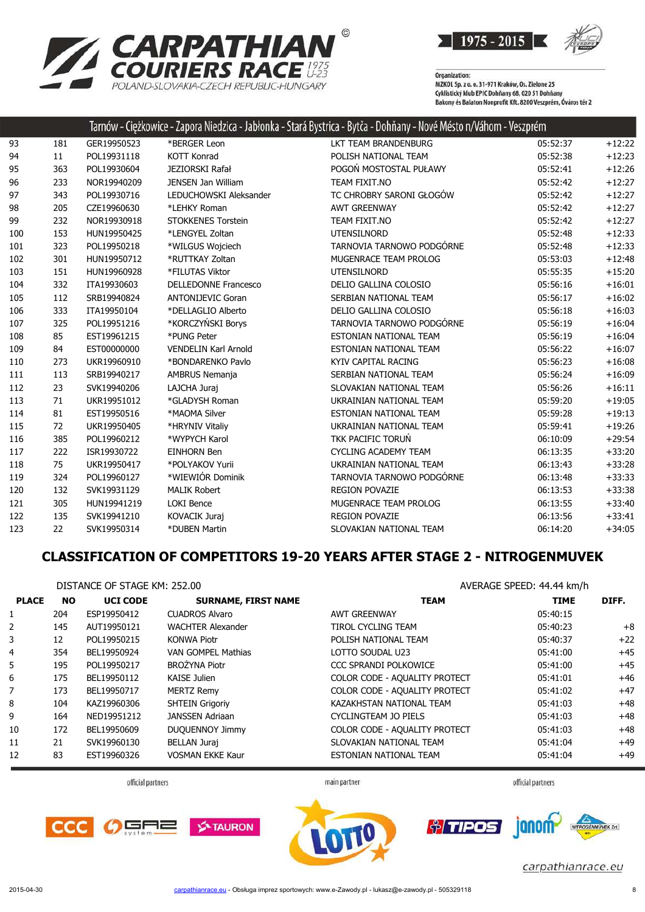

**RPATHIAN<sup>®</sup><br>RIERS RACE <sup>1975</sup><br>OVAKIA-CZECH REPUBLIC-HUNGARY** CA POLAND-SL OVAKIA-CZECH REPUBLIC-HUNGARY

Organization:<br>MZKOL Sp. z o. o. 31-971 Kraków, Os. Zielone 25 Cyklistický klub EPIC Dohňany 68, 020 51 Dohňany<br>Bakony és Balaton Nonprofit Kft. 8200 Veszprém, Óváros tér 2

|     |     |             |                             | Tarnów - Ciężkowice - Zapora Niedzica - Jabłonka - Stará Bystrica - Bytča - Dohňany - Nové Mésto n/Váhom - Veszprém |          |          |
|-----|-----|-------------|-----------------------------|---------------------------------------------------------------------------------------------------------------------|----------|----------|
| 93  | 181 | GER19950523 | *BERGER Leon                | LKT TEAM BRANDENBURG                                                                                                | 05:52:37 | $+12:22$ |
| 94  | 11  | POL19931118 | <b>KOTT Konrad</b>          | POLISH NATIONAL TEAM                                                                                                | 05:52:38 | $+12:23$ |
| 95  | 363 | POL19930604 | <b>JEZIORSKI Rafał</b>      | POGOŃ MOSTOSTAL PUŁAWY                                                                                              | 05:52:41 | $+12:26$ |
| 96  | 233 | NOR19940209 | <b>JENSEN Jan William</b>   | TEAM FIXIT.NO                                                                                                       | 05:52:42 | $+12:27$ |
| 97  | 343 | POL19930716 | LEDUCHOWSKI Aleksander      | TC CHROBRY SARONI GŁOGÓW                                                                                            | 05:52:42 | $+12:27$ |
| 98  | 205 | CZE19960630 | *LEHKY Roman                | <b>AWT GREENWAY</b>                                                                                                 | 05:52:42 | $+12:27$ |
| 99  | 232 | NOR19930918 | <b>STOKKENES Torstein</b>   | TEAM FIXIT.NO                                                                                                       | 05:52:42 | $+12:27$ |
| 100 | 153 | HUN19950425 | *LENGYEL Zoltan             | <b>UTENSILNORD</b>                                                                                                  | 05:52:48 | $+12:33$ |
| 101 | 323 | POL19950218 | *WILGUS Wojciech            | TARNOVIA TARNOWO PODGÓRNE                                                                                           | 05:52:48 | $+12:33$ |
| 102 | 301 | HUN19950712 | *RUTTKAY Zoltan             | MUGENRACE TEAM PROLOG                                                                                               | 05:53:03 | $+12:48$ |
| 103 | 151 | HUN19960928 | *FILUTAS Viktor             | <b>UTENSILNORD</b>                                                                                                  | 05:55:35 | $+15:20$ |
| 104 | 332 | ITA19930603 | <b>DELLEDONNE Francesco</b> | DELIO GALLINA COLOSIO                                                                                               | 05:56:16 | $+16:01$ |
| 105 | 112 | SRB19940824 | <b>ANTONIJEVIC Goran</b>    | SERBIAN NATIONAL TEAM                                                                                               | 05:56:17 | $+16:02$ |
| 106 | 333 | ITA19950104 | *DELLAGLIO Alberto          | DELIO GALLINA COLOSIO                                                                                               | 05:56:18 | $+16:03$ |
| 107 | 325 | POL19951216 | *KORCZYŃSKI Borys           | TARNOVIA TARNOWO PODGÓRNE                                                                                           | 05:56:19 | $+16:04$ |
| 108 | 85  | EST19961215 | *PUNG Peter                 | ESTONIAN NATIONAL TEAM                                                                                              | 05:56:19 | $+16:04$ |
| 109 | 84  | EST00000000 | <b>VENDELIN Karl Arnold</b> | ESTONIAN NATIONAL TEAM                                                                                              | 05:56:22 | $+16:07$ |
| 110 | 273 | UKR19960910 | *BONDARENKO Pavlo           | KYIV CAPITAL RACING                                                                                                 | 05:56:23 | $+16:08$ |
| 111 | 113 | SRB19940217 | AMBRUS Nemanja              | SERBIAN NATIONAL TEAM                                                                                               | 05:56:24 | $+16:09$ |
| 112 | 23  | SVK19940206 | LAJCHA Juraj                | SLOVAKIAN NATIONAL TEAM                                                                                             | 05:56:26 | $+16:11$ |
| 113 | 71  | UKR19951012 | *GLADYSH Roman              | UKRAINIAN NATIONAL TEAM                                                                                             | 05:59:20 | $+19:05$ |
| 114 | 81  | EST19950516 | *MAOMA Silver               | ESTONIAN NATIONAL TEAM                                                                                              | 05:59:28 | $+19:13$ |
| 115 | 72  | UKR19950405 | *HRYNIV Vitaliy             | UKRAINIAN NATIONAL TEAM                                                                                             | 05:59:41 | $+19:26$ |
| 116 | 385 | POL19960212 | *WYPYCH Karol               | TKK PACIFIC TORUŃ                                                                                                   | 06:10:09 | $+29:54$ |
| 117 | 222 | ISR19930722 | <b>EINHORN Ben</b>          | <b>CYCLING ACADEMY TEAM</b>                                                                                         | 06:13:35 | $+33:20$ |
| 118 | 75  | UKR19950417 | *POLYAKOV Yurii             | UKRAINIAN NATIONAL TEAM                                                                                             | 06:13:43 | $+33:28$ |
| 119 | 324 | POL19960127 | *WIEWIÓR Dominik            | TARNOVIA TARNOWO PODGÓRNE                                                                                           | 06:13:48 | $+33:33$ |
| 120 | 132 | SVK19931129 | <b>MALIK Robert</b>         | <b>REGION POVAZIE</b>                                                                                               | 06:13:53 | $+33:38$ |
| 121 | 305 | HUN19941219 | <b>LOKI Bence</b>           | MUGENRACE TEAM PROLOG                                                                                               | 06:13:55 | $+33:40$ |
| 122 | 135 | SVK19941210 | KOVACIK Juraj               | <b>REGION POVAZIE</b>                                                                                               | 06:13:56 | $+33:41$ |
| 123 | 22  | SVK19950314 | *DUBEN Martin               | SLOVAKIAN NATIONAL TEAM                                                                                             | 06:14:20 | $+34:05$ |

#### **CLASSIFICATION OF COMPETITORS 19-20 YEARS AFTER STAGE 2 - NITROGENMUVEK**

|                | DISTANCE OF STAGE KM: 252.00 |                 |                            | AVERAGE SPEED: 44.44 km/h     |             |       |  |
|----------------|------------------------------|-----------------|----------------------------|-------------------------------|-------------|-------|--|
| <b>PLACE</b>   | <b>NO</b>                    | <b>UCI CODE</b> | <b>SURNAME, FIRST NAME</b> | <b>TEAM</b>                   | <b>TIME</b> | DIFF. |  |
| $\mathbf{1}$   | 204                          | ESP19950412     | <b>CUADROS Alvaro</b>      | <b>AWT GREENWAY</b>           | 05:40:15    |       |  |
| $\overline{2}$ | 145                          | AUT19950121     | <b>WACHTER Alexander</b>   | TIROL CYCLING TEAM            | 05:40:23    | $+8$  |  |
| 3              | 12                           | POL19950215     | <b>KONWA Piotr</b>         | POLISH NATIONAL TEAM          | 05:40:37    | $+22$ |  |
| 4              | 354                          | BEL19950924     | VAN GOMPEL Mathias         | LOTTO SOUDAL U23              | 05:41:00    | $+45$ |  |
| 5.             | 195                          | POL19950217     | <b>BROŻYNA Piotr</b>       | CCC SPRANDI POLKOWICE         | 05:41:00    | $+45$ |  |
| 6              | 175                          | BEL19950112     | <b>KAISE Julien</b>        | COLOR CODE - AQUALITY PROTECT | 05:41:01    | $+46$ |  |
| 7              | 173                          | BEL19950717     | <b>MERTZ Remy</b>          | COLOR CODE - AQUALITY PROTECT | 05:41:02    | $+47$ |  |
| 8              | 104                          | KAZ19960306     | <b>SHTEIN Grigoriy</b>     | KAZAKHSTAN NATIONAL TEAM      | 05:41:03    | $+48$ |  |
| 9              | 164                          | NED19951212     | JANSSEN Adriaan            | CYCLINGTEAM JO PIELS          | 05:41:03    | $+48$ |  |
| 10             | 172                          | BEL19950609     | <b>DUQUENNOY Jimmy</b>     | COLOR CODE - AQUALITY PROTECT | 05:41:03    | $+48$ |  |
| 11             | 21                           | SVK19960130     | <b>BELLAN Juraj</b>        | SLOVAKIAN NATIONAL TEAM       | 05:41:04    | $+49$ |  |
| 12             | 83                           | EST19960326     | <b>VOSMAN EKKE Kaur</b>    | ESTONIAN NATIONAL TEAM        | 05:41:04    | $+49$ |  |

official partners

main partner

official partners





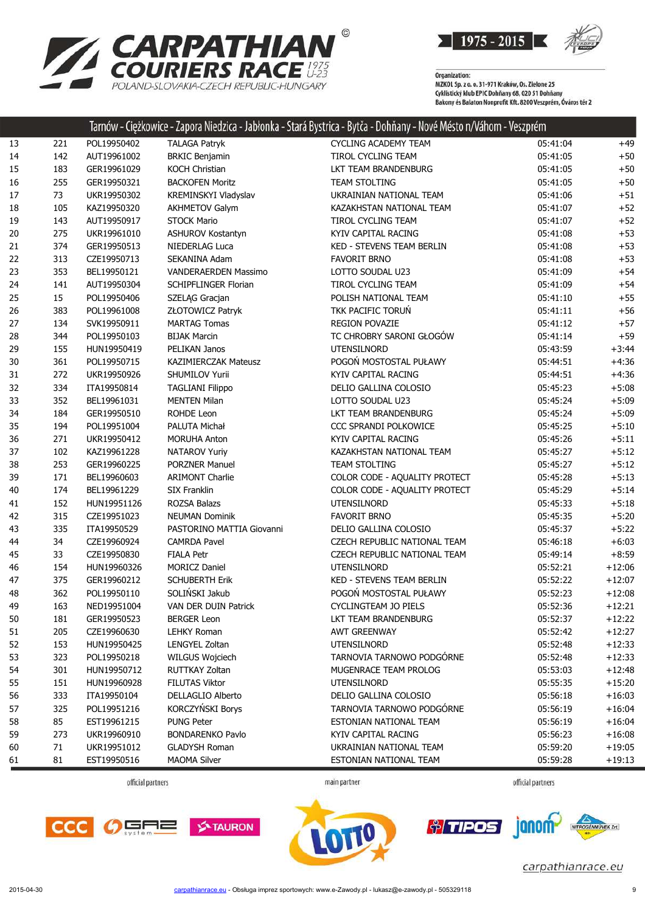

| <b>ZARPATHIAN</b>                      |
|----------------------------------------|
| <b>COURIERS RACE #25</b>               |
| POLAND-SLOVAKIA-CZECH REPUBLIC-HUNGARY |

| <b>CYCLING ACADEMY TEAM</b><br>05:41:04<br>13<br>POL19950402<br><b>TALAGA Patryk</b><br>221<br>+49<br>$+50$<br>14<br>142<br>AUT19961002<br><b>BRKIC Benjamin</b><br>TIROL CYCLING TEAM<br>05:41:05<br>15<br>183<br>GER19961029<br>KOCH Christian<br>LKT TEAM BRANDENBURG<br>05:41:05<br>$+50$<br>$+50$<br>16<br>255<br>GER19950321<br><b>BACKOFEN Moritz</b><br>TEAM STOLTING<br>05:41:05<br>73<br>17<br>05:41:06<br>$+51$<br>UKR19950302<br>KREMINSKYI Vladyslav<br>UKRAINIAN NATIONAL TEAM<br>18<br>105<br><b>AKHMETOV Galym</b><br>05:41:07<br>$+52$<br>KAZ19950320<br>KAZAKHSTAN NATIONAL TEAM<br>$+52$<br>19<br>143<br>AUT19950917<br><b>STOCK Mario</b><br>TIROL CYCLING TEAM<br>05:41:07<br>275<br>$+53$<br>20<br>UKR19961010<br>ASHUROV Kostantyn<br>KYIV CAPITAL RACING<br>05:41:08<br>374<br>$+53$<br>21<br>GER19950513<br>NIEDERLAG Luca<br>KED - STEVENS TEAM BERLIN<br>05:41:08<br>22<br>313<br>CZE19950713<br>SEKANINA Adam<br>05:41:08<br>$+53$<br><b>FAVORIT BRNO</b><br>23<br>353<br>$+54$<br>BEL19950121<br>VANDERAERDEN Massimo<br>LOTTO SOUDAL U23<br>05:41:09<br>24<br>141<br>AUT19950304<br>SCHIPFLINGER Florian<br>TIROL CYCLING TEAM<br>05:41:09<br>$+54$<br>25<br>15<br>$+55$<br>POL19950406<br>SZELĄG Gracjan<br>POLISH NATIONAL TEAM<br>05:41:10<br>TKK PACIFIC TORUŃ<br>26<br>383<br>POL19961008<br>ZŁOTOWICZ Patryk<br>05:41:11<br>$+56$<br>27<br>134<br>SVK19950911<br><b>MARTAG Tomas</b><br><b>REGION POVAZIE</b><br>05:41:12<br>$+57$<br>TC CHROBRY SARONI GŁOGÓW<br>28<br>344<br><b>BIJAK Marcin</b><br>05:41:14<br>$+59$<br>POL19950103<br>$+3:44$<br>29<br>155<br>PELIKAN Janos<br><b>UTENSILNORD</b><br>05:43:59<br>HUN19950419<br>POGOŃ MOSTOSTAL PUŁAWY<br>$+4:36$<br>30<br>361<br>POL19950715<br><b>KAZIMIERCZAK Mateusz</b><br>05:44:51<br>$+4:36$<br>31<br>272<br>UKR19950926<br>SHUMILOV Yurii<br>KYIV CAPITAL RACING<br>05:44:51<br>32<br>$+5:08$<br>334<br>ITA19950814<br><b>TAGLIANI Filippo</b><br>DELIO GALLINA COLOSIO<br>05:45:23<br>33<br>352<br>$+5:09$<br>BEL19961031<br><b>MENTEN Milan</b><br>LOTTO SOUDAL U23<br>05:45:24<br>$+5:09$<br>34<br>184<br>GER19950510<br>ROHDE Leon<br>LKT TEAM BRANDENBURG<br>05:45:24<br>$+5:10$<br>35<br>194<br>POL19951004<br>PALUTA Michał<br>CCC SPRANDI POLKOWICE<br>05:45:25<br>$+5:11$<br>36<br>271<br>UKR19950412<br><b>MORUHA Anton</b><br>KYIV CAPITAL RACING<br>05:45:26<br>$+5:12$<br>37<br>102<br>KAZ19961228<br>NATAROV Yuriy<br>KAZAKHSTAN NATIONAL TEAM<br>05:45:27<br>253<br>05:45:27<br>$+5:12$<br>38<br>GER19960225<br><b>PORZNER Manuel</b><br><b>TEAM STOLTING</b><br>$+5:13$<br>39<br>171<br>BEL19960603<br><b>ARIMONT Charlie</b><br>COLOR CODE - AQUALITY PROTECT<br>05:45:28<br>$+5:14$<br>40<br>174<br>BEL19961229<br><b>SIX Franklin</b><br>COLOR CODE - AQUALITY PROTECT<br>05:45:29<br>$+5:18$<br>41<br>152<br>HUN19951126<br><b>ROZSA Balazs</b><br><b>UTENSILNORD</b><br>05:45:33<br>315<br>$+5:20$<br>42<br>CZE19951023<br><b>NEUMAN Dominik</b><br><b>FAVORIT BRNO</b><br>05:45:35<br>43<br>335<br>$+5:22$<br>ITA19950529<br>PASTORINO MATTIA Giovanni<br>DELIO GALLINA COLOSIO<br>05:45:37<br>$+6:03$<br>44<br>34<br>CZE19960924<br><b>CAMRDA Pavel</b><br>CZECH REPUBLIC NATIONAL TEAM<br>05:46:18<br>$+8:59$<br>45<br>33<br>CZE19950830<br><b>FIALA Petr</b><br>CZECH REPUBLIC NATIONAL TEAM<br>05:49:14<br>$+12:06$<br>46<br>154<br>HUN19960326<br><b>MORICZ Daniel</b><br><b>UTENSILNORD</b><br>05:52:21<br><b>SCHUBERTH Erik</b><br>$+12:07$<br>47<br>375<br>GER19960212<br><b>KED - STEVENS TEAM BERLIN</b><br>05:52:22<br>SOLIŃSKI Jakub<br>POGOŃ MOSTOSTAL PUŁAWY<br>$+12:08$<br>48<br>362<br>POL19950110<br>05:52:23<br>49<br>163<br>NED19951004<br>VAN DER DUIN Patrick<br><b>CYCLINGTEAM JO PIELS</b><br>05:52:36<br>$+12:21$<br>05:52:37<br>$+12:22$<br>50<br>181<br>GER19950523<br><b>BERGER Leon</b><br>LKT TEAM BRANDENBURG<br>$+12:27$<br>205<br><b>LEHKY Roman</b><br>05:52:42<br>51<br>CZE19960630<br><b>AWT GREENWAY</b><br>153<br>$+12:33$<br>52<br>HUN19950425<br>LENGYEL Zoltan<br>UTENSILNORD<br>05:52:48<br>TARNOVIA TARNOWO PODGÓRNE<br>53<br>323<br>$+12:33$<br>POL19950218<br>WILGUS Wojciech<br>05:52:48<br>301<br>MUGENRACE TEAM PROLOG<br>$+12:48$<br>54<br>HUN19950712<br>RUTTKAY Zoltan<br>05:53:03<br>55<br>151<br><b>FILUTAS Viktor</b><br>UTENSILNORD<br>$+15:20$<br>HUN19960928<br>05:55:35<br>333<br>DELLAGLIO Alberto<br>DELIO GALLINA COLOSIO<br>$+16:03$<br>56<br>ITA19950104<br>05:56:18<br>KORCZYŃSKI Borys<br>325<br>TARNOVIA TARNOWO PODGÓRNE<br>$+16:04$<br>57<br>POL19951216<br>05:56:19<br>85<br><b>PUNG Peter</b><br>ESTONIAN NATIONAL TEAM<br>$+16:04$<br>58<br>EST19961215<br>05:56:19<br>59<br>273<br>KYIV CAPITAL RACING<br>$+16:08$<br>UKR19960910<br><b>BONDARENKO Pavlo</b><br>05:56:23<br>71<br>60<br>UKR19951012<br><b>GLADYSH Roman</b><br>UKRAINIAN NATIONAL TEAM<br>05:59:20<br>$+19:05$<br>61<br>81<br>EST19950516<br><b>MAOMA Silver</b><br>ESTONIAN NATIONAL TEAM<br>05:59:28<br>$+19:13$ |  |  | Tarnów - Ciężkowice - Zapora Niedzica - Jabłonka - Stará Bystrica - Bytča - Dohňany - Nové Mésto n/Váhom - Veszprém |  |
|---------------------------------------------------------------------------------------------------------------------------------------------------------------------------------------------------------------------------------------------------------------------------------------------------------------------------------------------------------------------------------------------------------------------------------------------------------------------------------------------------------------------------------------------------------------------------------------------------------------------------------------------------------------------------------------------------------------------------------------------------------------------------------------------------------------------------------------------------------------------------------------------------------------------------------------------------------------------------------------------------------------------------------------------------------------------------------------------------------------------------------------------------------------------------------------------------------------------------------------------------------------------------------------------------------------------------------------------------------------------------------------------------------------------------------------------------------------------------------------------------------------------------------------------------------------------------------------------------------------------------------------------------------------------------------------------------------------------------------------------------------------------------------------------------------------------------------------------------------------------------------------------------------------------------------------------------------------------------------------------------------------------------------------------------------------------------------------------------------------------------------------------------------------------------------------------------------------------------------------------------------------------------------------------------------------------------------------------------------------------------------------------------------------------------------------------------------------------------------------------------------------------------------------------------------------------------------------------------------------------------------------------------------------------------------------------------------------------------------------------------------------------------------------------------------------------------------------------------------------------------------------------------------------------------------------------------------------------------------------------------------------------------------------------------------------------------------------------------------------------------------------------------------------------------------------------------------------------------------------------------------------------------------------------------------------------------------------------------------------------------------------------------------------------------------------------------------------------------------------------------------------------------------------------------------------------------------------------------------------------------------------------------------------------------------------------------------------------------------------------------------------------------------------------------------------------------------------------------------------------------------------------------------------------------------------------------------------------------------------------------------------------------------------------------------------------------------------------------------------------------------------------------------------------------------------------------------------------------------------------------------------------------------------------------------------------------------------------------------------------------------------------------------------------------------------------------------------------------------------------------------------------------------------------------------------------------------------------------------------------------------------------------------------------------------------------------------------------------------------------------------------------------------------------------------------------------------------------------------------------------------------------------------------------------------------------------------------------------------|--|--|---------------------------------------------------------------------------------------------------------------------|--|
|                                                                                                                                                                                                                                                                                                                                                                                                                                                                                                                                                                                                                                                                                                                                                                                                                                                                                                                                                                                                                                                                                                                                                                                                                                                                                                                                                                                                                                                                                                                                                                                                                                                                                                                                                                                                                                                                                                                                                                                                                                                                                                                                                                                                                                                                                                                                                                                                                                                                                                                                                                                                                                                                                                                                                                                                                                                                                                                                                                                                                                                                                                                                                                                                                                                                                                                                                                                                                                                                                                                                                                                                                                                                                                                                                                                                                                                                                                                                                                                                                                                                                                                                                                                                                                                                                                                                                                                                                                                                                                                                                                                                                                                                                                                                                                                                                                                                                                                                                                                 |  |  |                                                                                                                     |  |
|                                                                                                                                                                                                                                                                                                                                                                                                                                                                                                                                                                                                                                                                                                                                                                                                                                                                                                                                                                                                                                                                                                                                                                                                                                                                                                                                                                                                                                                                                                                                                                                                                                                                                                                                                                                                                                                                                                                                                                                                                                                                                                                                                                                                                                                                                                                                                                                                                                                                                                                                                                                                                                                                                                                                                                                                                                                                                                                                                                                                                                                                                                                                                                                                                                                                                                                                                                                                                                                                                                                                                                                                                                                                                                                                                                                                                                                                                                                                                                                                                                                                                                                                                                                                                                                                                                                                                                                                                                                                                                                                                                                                                                                                                                                                                                                                                                                                                                                                                                                 |  |  |                                                                                                                     |  |
|                                                                                                                                                                                                                                                                                                                                                                                                                                                                                                                                                                                                                                                                                                                                                                                                                                                                                                                                                                                                                                                                                                                                                                                                                                                                                                                                                                                                                                                                                                                                                                                                                                                                                                                                                                                                                                                                                                                                                                                                                                                                                                                                                                                                                                                                                                                                                                                                                                                                                                                                                                                                                                                                                                                                                                                                                                                                                                                                                                                                                                                                                                                                                                                                                                                                                                                                                                                                                                                                                                                                                                                                                                                                                                                                                                                                                                                                                                                                                                                                                                                                                                                                                                                                                                                                                                                                                                                                                                                                                                                                                                                                                                                                                                                                                                                                                                                                                                                                                                                 |  |  |                                                                                                                     |  |
|                                                                                                                                                                                                                                                                                                                                                                                                                                                                                                                                                                                                                                                                                                                                                                                                                                                                                                                                                                                                                                                                                                                                                                                                                                                                                                                                                                                                                                                                                                                                                                                                                                                                                                                                                                                                                                                                                                                                                                                                                                                                                                                                                                                                                                                                                                                                                                                                                                                                                                                                                                                                                                                                                                                                                                                                                                                                                                                                                                                                                                                                                                                                                                                                                                                                                                                                                                                                                                                                                                                                                                                                                                                                                                                                                                                                                                                                                                                                                                                                                                                                                                                                                                                                                                                                                                                                                                                                                                                                                                                                                                                                                                                                                                                                                                                                                                                                                                                                                                                 |  |  |                                                                                                                     |  |
|                                                                                                                                                                                                                                                                                                                                                                                                                                                                                                                                                                                                                                                                                                                                                                                                                                                                                                                                                                                                                                                                                                                                                                                                                                                                                                                                                                                                                                                                                                                                                                                                                                                                                                                                                                                                                                                                                                                                                                                                                                                                                                                                                                                                                                                                                                                                                                                                                                                                                                                                                                                                                                                                                                                                                                                                                                                                                                                                                                                                                                                                                                                                                                                                                                                                                                                                                                                                                                                                                                                                                                                                                                                                                                                                                                                                                                                                                                                                                                                                                                                                                                                                                                                                                                                                                                                                                                                                                                                                                                                                                                                                                                                                                                                                                                                                                                                                                                                                                                                 |  |  |                                                                                                                     |  |
|                                                                                                                                                                                                                                                                                                                                                                                                                                                                                                                                                                                                                                                                                                                                                                                                                                                                                                                                                                                                                                                                                                                                                                                                                                                                                                                                                                                                                                                                                                                                                                                                                                                                                                                                                                                                                                                                                                                                                                                                                                                                                                                                                                                                                                                                                                                                                                                                                                                                                                                                                                                                                                                                                                                                                                                                                                                                                                                                                                                                                                                                                                                                                                                                                                                                                                                                                                                                                                                                                                                                                                                                                                                                                                                                                                                                                                                                                                                                                                                                                                                                                                                                                                                                                                                                                                                                                                                                                                                                                                                                                                                                                                                                                                                                                                                                                                                                                                                                                                                 |  |  |                                                                                                                     |  |
|                                                                                                                                                                                                                                                                                                                                                                                                                                                                                                                                                                                                                                                                                                                                                                                                                                                                                                                                                                                                                                                                                                                                                                                                                                                                                                                                                                                                                                                                                                                                                                                                                                                                                                                                                                                                                                                                                                                                                                                                                                                                                                                                                                                                                                                                                                                                                                                                                                                                                                                                                                                                                                                                                                                                                                                                                                                                                                                                                                                                                                                                                                                                                                                                                                                                                                                                                                                                                                                                                                                                                                                                                                                                                                                                                                                                                                                                                                                                                                                                                                                                                                                                                                                                                                                                                                                                                                                                                                                                                                                                                                                                                                                                                                                                                                                                                                                                                                                                                                                 |  |  |                                                                                                                     |  |
|                                                                                                                                                                                                                                                                                                                                                                                                                                                                                                                                                                                                                                                                                                                                                                                                                                                                                                                                                                                                                                                                                                                                                                                                                                                                                                                                                                                                                                                                                                                                                                                                                                                                                                                                                                                                                                                                                                                                                                                                                                                                                                                                                                                                                                                                                                                                                                                                                                                                                                                                                                                                                                                                                                                                                                                                                                                                                                                                                                                                                                                                                                                                                                                                                                                                                                                                                                                                                                                                                                                                                                                                                                                                                                                                                                                                                                                                                                                                                                                                                                                                                                                                                                                                                                                                                                                                                                                                                                                                                                                                                                                                                                                                                                                                                                                                                                                                                                                                                                                 |  |  |                                                                                                                     |  |
|                                                                                                                                                                                                                                                                                                                                                                                                                                                                                                                                                                                                                                                                                                                                                                                                                                                                                                                                                                                                                                                                                                                                                                                                                                                                                                                                                                                                                                                                                                                                                                                                                                                                                                                                                                                                                                                                                                                                                                                                                                                                                                                                                                                                                                                                                                                                                                                                                                                                                                                                                                                                                                                                                                                                                                                                                                                                                                                                                                                                                                                                                                                                                                                                                                                                                                                                                                                                                                                                                                                                                                                                                                                                                                                                                                                                                                                                                                                                                                                                                                                                                                                                                                                                                                                                                                                                                                                                                                                                                                                                                                                                                                                                                                                                                                                                                                                                                                                                                                                 |  |  |                                                                                                                     |  |
|                                                                                                                                                                                                                                                                                                                                                                                                                                                                                                                                                                                                                                                                                                                                                                                                                                                                                                                                                                                                                                                                                                                                                                                                                                                                                                                                                                                                                                                                                                                                                                                                                                                                                                                                                                                                                                                                                                                                                                                                                                                                                                                                                                                                                                                                                                                                                                                                                                                                                                                                                                                                                                                                                                                                                                                                                                                                                                                                                                                                                                                                                                                                                                                                                                                                                                                                                                                                                                                                                                                                                                                                                                                                                                                                                                                                                                                                                                                                                                                                                                                                                                                                                                                                                                                                                                                                                                                                                                                                                                                                                                                                                                                                                                                                                                                                                                                                                                                                                                                 |  |  |                                                                                                                     |  |
|                                                                                                                                                                                                                                                                                                                                                                                                                                                                                                                                                                                                                                                                                                                                                                                                                                                                                                                                                                                                                                                                                                                                                                                                                                                                                                                                                                                                                                                                                                                                                                                                                                                                                                                                                                                                                                                                                                                                                                                                                                                                                                                                                                                                                                                                                                                                                                                                                                                                                                                                                                                                                                                                                                                                                                                                                                                                                                                                                                                                                                                                                                                                                                                                                                                                                                                                                                                                                                                                                                                                                                                                                                                                                                                                                                                                                                                                                                                                                                                                                                                                                                                                                                                                                                                                                                                                                                                                                                                                                                                                                                                                                                                                                                                                                                                                                                                                                                                                                                                 |  |  |                                                                                                                     |  |
|                                                                                                                                                                                                                                                                                                                                                                                                                                                                                                                                                                                                                                                                                                                                                                                                                                                                                                                                                                                                                                                                                                                                                                                                                                                                                                                                                                                                                                                                                                                                                                                                                                                                                                                                                                                                                                                                                                                                                                                                                                                                                                                                                                                                                                                                                                                                                                                                                                                                                                                                                                                                                                                                                                                                                                                                                                                                                                                                                                                                                                                                                                                                                                                                                                                                                                                                                                                                                                                                                                                                                                                                                                                                                                                                                                                                                                                                                                                                                                                                                                                                                                                                                                                                                                                                                                                                                                                                                                                                                                                                                                                                                                                                                                                                                                                                                                                                                                                                                                                 |  |  |                                                                                                                     |  |
|                                                                                                                                                                                                                                                                                                                                                                                                                                                                                                                                                                                                                                                                                                                                                                                                                                                                                                                                                                                                                                                                                                                                                                                                                                                                                                                                                                                                                                                                                                                                                                                                                                                                                                                                                                                                                                                                                                                                                                                                                                                                                                                                                                                                                                                                                                                                                                                                                                                                                                                                                                                                                                                                                                                                                                                                                                                                                                                                                                                                                                                                                                                                                                                                                                                                                                                                                                                                                                                                                                                                                                                                                                                                                                                                                                                                                                                                                                                                                                                                                                                                                                                                                                                                                                                                                                                                                                                                                                                                                                                                                                                                                                                                                                                                                                                                                                                                                                                                                                                 |  |  |                                                                                                                     |  |
|                                                                                                                                                                                                                                                                                                                                                                                                                                                                                                                                                                                                                                                                                                                                                                                                                                                                                                                                                                                                                                                                                                                                                                                                                                                                                                                                                                                                                                                                                                                                                                                                                                                                                                                                                                                                                                                                                                                                                                                                                                                                                                                                                                                                                                                                                                                                                                                                                                                                                                                                                                                                                                                                                                                                                                                                                                                                                                                                                                                                                                                                                                                                                                                                                                                                                                                                                                                                                                                                                                                                                                                                                                                                                                                                                                                                                                                                                                                                                                                                                                                                                                                                                                                                                                                                                                                                                                                                                                                                                                                                                                                                                                                                                                                                                                                                                                                                                                                                                                                 |  |  |                                                                                                                     |  |
|                                                                                                                                                                                                                                                                                                                                                                                                                                                                                                                                                                                                                                                                                                                                                                                                                                                                                                                                                                                                                                                                                                                                                                                                                                                                                                                                                                                                                                                                                                                                                                                                                                                                                                                                                                                                                                                                                                                                                                                                                                                                                                                                                                                                                                                                                                                                                                                                                                                                                                                                                                                                                                                                                                                                                                                                                                                                                                                                                                                                                                                                                                                                                                                                                                                                                                                                                                                                                                                                                                                                                                                                                                                                                                                                                                                                                                                                                                                                                                                                                                                                                                                                                                                                                                                                                                                                                                                                                                                                                                                                                                                                                                                                                                                                                                                                                                                                                                                                                                                 |  |  |                                                                                                                     |  |
|                                                                                                                                                                                                                                                                                                                                                                                                                                                                                                                                                                                                                                                                                                                                                                                                                                                                                                                                                                                                                                                                                                                                                                                                                                                                                                                                                                                                                                                                                                                                                                                                                                                                                                                                                                                                                                                                                                                                                                                                                                                                                                                                                                                                                                                                                                                                                                                                                                                                                                                                                                                                                                                                                                                                                                                                                                                                                                                                                                                                                                                                                                                                                                                                                                                                                                                                                                                                                                                                                                                                                                                                                                                                                                                                                                                                                                                                                                                                                                                                                                                                                                                                                                                                                                                                                                                                                                                                                                                                                                                                                                                                                                                                                                                                                                                                                                                                                                                                                                                 |  |  |                                                                                                                     |  |
|                                                                                                                                                                                                                                                                                                                                                                                                                                                                                                                                                                                                                                                                                                                                                                                                                                                                                                                                                                                                                                                                                                                                                                                                                                                                                                                                                                                                                                                                                                                                                                                                                                                                                                                                                                                                                                                                                                                                                                                                                                                                                                                                                                                                                                                                                                                                                                                                                                                                                                                                                                                                                                                                                                                                                                                                                                                                                                                                                                                                                                                                                                                                                                                                                                                                                                                                                                                                                                                                                                                                                                                                                                                                                                                                                                                                                                                                                                                                                                                                                                                                                                                                                                                                                                                                                                                                                                                                                                                                                                                                                                                                                                                                                                                                                                                                                                                                                                                                                                                 |  |  |                                                                                                                     |  |
|                                                                                                                                                                                                                                                                                                                                                                                                                                                                                                                                                                                                                                                                                                                                                                                                                                                                                                                                                                                                                                                                                                                                                                                                                                                                                                                                                                                                                                                                                                                                                                                                                                                                                                                                                                                                                                                                                                                                                                                                                                                                                                                                                                                                                                                                                                                                                                                                                                                                                                                                                                                                                                                                                                                                                                                                                                                                                                                                                                                                                                                                                                                                                                                                                                                                                                                                                                                                                                                                                                                                                                                                                                                                                                                                                                                                                                                                                                                                                                                                                                                                                                                                                                                                                                                                                                                                                                                                                                                                                                                                                                                                                                                                                                                                                                                                                                                                                                                                                                                 |  |  |                                                                                                                     |  |
|                                                                                                                                                                                                                                                                                                                                                                                                                                                                                                                                                                                                                                                                                                                                                                                                                                                                                                                                                                                                                                                                                                                                                                                                                                                                                                                                                                                                                                                                                                                                                                                                                                                                                                                                                                                                                                                                                                                                                                                                                                                                                                                                                                                                                                                                                                                                                                                                                                                                                                                                                                                                                                                                                                                                                                                                                                                                                                                                                                                                                                                                                                                                                                                                                                                                                                                                                                                                                                                                                                                                                                                                                                                                                                                                                                                                                                                                                                                                                                                                                                                                                                                                                                                                                                                                                                                                                                                                                                                                                                                                                                                                                                                                                                                                                                                                                                                                                                                                                                                 |  |  |                                                                                                                     |  |
|                                                                                                                                                                                                                                                                                                                                                                                                                                                                                                                                                                                                                                                                                                                                                                                                                                                                                                                                                                                                                                                                                                                                                                                                                                                                                                                                                                                                                                                                                                                                                                                                                                                                                                                                                                                                                                                                                                                                                                                                                                                                                                                                                                                                                                                                                                                                                                                                                                                                                                                                                                                                                                                                                                                                                                                                                                                                                                                                                                                                                                                                                                                                                                                                                                                                                                                                                                                                                                                                                                                                                                                                                                                                                                                                                                                                                                                                                                                                                                                                                                                                                                                                                                                                                                                                                                                                                                                                                                                                                                                                                                                                                                                                                                                                                                                                                                                                                                                                                                                 |  |  |                                                                                                                     |  |
|                                                                                                                                                                                                                                                                                                                                                                                                                                                                                                                                                                                                                                                                                                                                                                                                                                                                                                                                                                                                                                                                                                                                                                                                                                                                                                                                                                                                                                                                                                                                                                                                                                                                                                                                                                                                                                                                                                                                                                                                                                                                                                                                                                                                                                                                                                                                                                                                                                                                                                                                                                                                                                                                                                                                                                                                                                                                                                                                                                                                                                                                                                                                                                                                                                                                                                                                                                                                                                                                                                                                                                                                                                                                                                                                                                                                                                                                                                                                                                                                                                                                                                                                                                                                                                                                                                                                                                                                                                                                                                                                                                                                                                                                                                                                                                                                                                                                                                                                                                                 |  |  |                                                                                                                     |  |
|                                                                                                                                                                                                                                                                                                                                                                                                                                                                                                                                                                                                                                                                                                                                                                                                                                                                                                                                                                                                                                                                                                                                                                                                                                                                                                                                                                                                                                                                                                                                                                                                                                                                                                                                                                                                                                                                                                                                                                                                                                                                                                                                                                                                                                                                                                                                                                                                                                                                                                                                                                                                                                                                                                                                                                                                                                                                                                                                                                                                                                                                                                                                                                                                                                                                                                                                                                                                                                                                                                                                                                                                                                                                                                                                                                                                                                                                                                                                                                                                                                                                                                                                                                                                                                                                                                                                                                                                                                                                                                                                                                                                                                                                                                                                                                                                                                                                                                                                                                                 |  |  |                                                                                                                     |  |
|                                                                                                                                                                                                                                                                                                                                                                                                                                                                                                                                                                                                                                                                                                                                                                                                                                                                                                                                                                                                                                                                                                                                                                                                                                                                                                                                                                                                                                                                                                                                                                                                                                                                                                                                                                                                                                                                                                                                                                                                                                                                                                                                                                                                                                                                                                                                                                                                                                                                                                                                                                                                                                                                                                                                                                                                                                                                                                                                                                                                                                                                                                                                                                                                                                                                                                                                                                                                                                                                                                                                                                                                                                                                                                                                                                                                                                                                                                                                                                                                                                                                                                                                                                                                                                                                                                                                                                                                                                                                                                                                                                                                                                                                                                                                                                                                                                                                                                                                                                                 |  |  |                                                                                                                     |  |
|                                                                                                                                                                                                                                                                                                                                                                                                                                                                                                                                                                                                                                                                                                                                                                                                                                                                                                                                                                                                                                                                                                                                                                                                                                                                                                                                                                                                                                                                                                                                                                                                                                                                                                                                                                                                                                                                                                                                                                                                                                                                                                                                                                                                                                                                                                                                                                                                                                                                                                                                                                                                                                                                                                                                                                                                                                                                                                                                                                                                                                                                                                                                                                                                                                                                                                                                                                                                                                                                                                                                                                                                                                                                                                                                                                                                                                                                                                                                                                                                                                                                                                                                                                                                                                                                                                                                                                                                                                                                                                                                                                                                                                                                                                                                                                                                                                                                                                                                                                                 |  |  |                                                                                                                     |  |
|                                                                                                                                                                                                                                                                                                                                                                                                                                                                                                                                                                                                                                                                                                                                                                                                                                                                                                                                                                                                                                                                                                                                                                                                                                                                                                                                                                                                                                                                                                                                                                                                                                                                                                                                                                                                                                                                                                                                                                                                                                                                                                                                                                                                                                                                                                                                                                                                                                                                                                                                                                                                                                                                                                                                                                                                                                                                                                                                                                                                                                                                                                                                                                                                                                                                                                                                                                                                                                                                                                                                                                                                                                                                                                                                                                                                                                                                                                                                                                                                                                                                                                                                                                                                                                                                                                                                                                                                                                                                                                                                                                                                                                                                                                                                                                                                                                                                                                                                                                                 |  |  |                                                                                                                     |  |
|                                                                                                                                                                                                                                                                                                                                                                                                                                                                                                                                                                                                                                                                                                                                                                                                                                                                                                                                                                                                                                                                                                                                                                                                                                                                                                                                                                                                                                                                                                                                                                                                                                                                                                                                                                                                                                                                                                                                                                                                                                                                                                                                                                                                                                                                                                                                                                                                                                                                                                                                                                                                                                                                                                                                                                                                                                                                                                                                                                                                                                                                                                                                                                                                                                                                                                                                                                                                                                                                                                                                                                                                                                                                                                                                                                                                                                                                                                                                                                                                                                                                                                                                                                                                                                                                                                                                                                                                                                                                                                                                                                                                                                                                                                                                                                                                                                                                                                                                                                                 |  |  |                                                                                                                     |  |
|                                                                                                                                                                                                                                                                                                                                                                                                                                                                                                                                                                                                                                                                                                                                                                                                                                                                                                                                                                                                                                                                                                                                                                                                                                                                                                                                                                                                                                                                                                                                                                                                                                                                                                                                                                                                                                                                                                                                                                                                                                                                                                                                                                                                                                                                                                                                                                                                                                                                                                                                                                                                                                                                                                                                                                                                                                                                                                                                                                                                                                                                                                                                                                                                                                                                                                                                                                                                                                                                                                                                                                                                                                                                                                                                                                                                                                                                                                                                                                                                                                                                                                                                                                                                                                                                                                                                                                                                                                                                                                                                                                                                                                                                                                                                                                                                                                                                                                                                                                                 |  |  |                                                                                                                     |  |
|                                                                                                                                                                                                                                                                                                                                                                                                                                                                                                                                                                                                                                                                                                                                                                                                                                                                                                                                                                                                                                                                                                                                                                                                                                                                                                                                                                                                                                                                                                                                                                                                                                                                                                                                                                                                                                                                                                                                                                                                                                                                                                                                                                                                                                                                                                                                                                                                                                                                                                                                                                                                                                                                                                                                                                                                                                                                                                                                                                                                                                                                                                                                                                                                                                                                                                                                                                                                                                                                                                                                                                                                                                                                                                                                                                                                                                                                                                                                                                                                                                                                                                                                                                                                                                                                                                                                                                                                                                                                                                                                                                                                                                                                                                                                                                                                                                                                                                                                                                                 |  |  |                                                                                                                     |  |
|                                                                                                                                                                                                                                                                                                                                                                                                                                                                                                                                                                                                                                                                                                                                                                                                                                                                                                                                                                                                                                                                                                                                                                                                                                                                                                                                                                                                                                                                                                                                                                                                                                                                                                                                                                                                                                                                                                                                                                                                                                                                                                                                                                                                                                                                                                                                                                                                                                                                                                                                                                                                                                                                                                                                                                                                                                                                                                                                                                                                                                                                                                                                                                                                                                                                                                                                                                                                                                                                                                                                                                                                                                                                                                                                                                                                                                                                                                                                                                                                                                                                                                                                                                                                                                                                                                                                                                                                                                                                                                                                                                                                                                                                                                                                                                                                                                                                                                                                                                                 |  |  |                                                                                                                     |  |
|                                                                                                                                                                                                                                                                                                                                                                                                                                                                                                                                                                                                                                                                                                                                                                                                                                                                                                                                                                                                                                                                                                                                                                                                                                                                                                                                                                                                                                                                                                                                                                                                                                                                                                                                                                                                                                                                                                                                                                                                                                                                                                                                                                                                                                                                                                                                                                                                                                                                                                                                                                                                                                                                                                                                                                                                                                                                                                                                                                                                                                                                                                                                                                                                                                                                                                                                                                                                                                                                                                                                                                                                                                                                                                                                                                                                                                                                                                                                                                                                                                                                                                                                                                                                                                                                                                                                                                                                                                                                                                                                                                                                                                                                                                                                                                                                                                                                                                                                                                                 |  |  |                                                                                                                     |  |
|                                                                                                                                                                                                                                                                                                                                                                                                                                                                                                                                                                                                                                                                                                                                                                                                                                                                                                                                                                                                                                                                                                                                                                                                                                                                                                                                                                                                                                                                                                                                                                                                                                                                                                                                                                                                                                                                                                                                                                                                                                                                                                                                                                                                                                                                                                                                                                                                                                                                                                                                                                                                                                                                                                                                                                                                                                                                                                                                                                                                                                                                                                                                                                                                                                                                                                                                                                                                                                                                                                                                                                                                                                                                                                                                                                                                                                                                                                                                                                                                                                                                                                                                                                                                                                                                                                                                                                                                                                                                                                                                                                                                                                                                                                                                                                                                                                                                                                                                                                                 |  |  |                                                                                                                     |  |
|                                                                                                                                                                                                                                                                                                                                                                                                                                                                                                                                                                                                                                                                                                                                                                                                                                                                                                                                                                                                                                                                                                                                                                                                                                                                                                                                                                                                                                                                                                                                                                                                                                                                                                                                                                                                                                                                                                                                                                                                                                                                                                                                                                                                                                                                                                                                                                                                                                                                                                                                                                                                                                                                                                                                                                                                                                                                                                                                                                                                                                                                                                                                                                                                                                                                                                                                                                                                                                                                                                                                                                                                                                                                                                                                                                                                                                                                                                                                                                                                                                                                                                                                                                                                                                                                                                                                                                                                                                                                                                                                                                                                                                                                                                                                                                                                                                                                                                                                                                                 |  |  |                                                                                                                     |  |
|                                                                                                                                                                                                                                                                                                                                                                                                                                                                                                                                                                                                                                                                                                                                                                                                                                                                                                                                                                                                                                                                                                                                                                                                                                                                                                                                                                                                                                                                                                                                                                                                                                                                                                                                                                                                                                                                                                                                                                                                                                                                                                                                                                                                                                                                                                                                                                                                                                                                                                                                                                                                                                                                                                                                                                                                                                                                                                                                                                                                                                                                                                                                                                                                                                                                                                                                                                                                                                                                                                                                                                                                                                                                                                                                                                                                                                                                                                                                                                                                                                                                                                                                                                                                                                                                                                                                                                                                                                                                                                                                                                                                                                                                                                                                                                                                                                                                                                                                                                                 |  |  |                                                                                                                     |  |
|                                                                                                                                                                                                                                                                                                                                                                                                                                                                                                                                                                                                                                                                                                                                                                                                                                                                                                                                                                                                                                                                                                                                                                                                                                                                                                                                                                                                                                                                                                                                                                                                                                                                                                                                                                                                                                                                                                                                                                                                                                                                                                                                                                                                                                                                                                                                                                                                                                                                                                                                                                                                                                                                                                                                                                                                                                                                                                                                                                                                                                                                                                                                                                                                                                                                                                                                                                                                                                                                                                                                                                                                                                                                                                                                                                                                                                                                                                                                                                                                                                                                                                                                                                                                                                                                                                                                                                                                                                                                                                                                                                                                                                                                                                                                                                                                                                                                                                                                                                                 |  |  |                                                                                                                     |  |
|                                                                                                                                                                                                                                                                                                                                                                                                                                                                                                                                                                                                                                                                                                                                                                                                                                                                                                                                                                                                                                                                                                                                                                                                                                                                                                                                                                                                                                                                                                                                                                                                                                                                                                                                                                                                                                                                                                                                                                                                                                                                                                                                                                                                                                                                                                                                                                                                                                                                                                                                                                                                                                                                                                                                                                                                                                                                                                                                                                                                                                                                                                                                                                                                                                                                                                                                                                                                                                                                                                                                                                                                                                                                                                                                                                                                                                                                                                                                                                                                                                                                                                                                                                                                                                                                                                                                                                                                                                                                                                                                                                                                                                                                                                                                                                                                                                                                                                                                                                                 |  |  |                                                                                                                     |  |
|                                                                                                                                                                                                                                                                                                                                                                                                                                                                                                                                                                                                                                                                                                                                                                                                                                                                                                                                                                                                                                                                                                                                                                                                                                                                                                                                                                                                                                                                                                                                                                                                                                                                                                                                                                                                                                                                                                                                                                                                                                                                                                                                                                                                                                                                                                                                                                                                                                                                                                                                                                                                                                                                                                                                                                                                                                                                                                                                                                                                                                                                                                                                                                                                                                                                                                                                                                                                                                                                                                                                                                                                                                                                                                                                                                                                                                                                                                                                                                                                                                                                                                                                                                                                                                                                                                                                                                                                                                                                                                                                                                                                                                                                                                                                                                                                                                                                                                                                                                                 |  |  |                                                                                                                     |  |
|                                                                                                                                                                                                                                                                                                                                                                                                                                                                                                                                                                                                                                                                                                                                                                                                                                                                                                                                                                                                                                                                                                                                                                                                                                                                                                                                                                                                                                                                                                                                                                                                                                                                                                                                                                                                                                                                                                                                                                                                                                                                                                                                                                                                                                                                                                                                                                                                                                                                                                                                                                                                                                                                                                                                                                                                                                                                                                                                                                                                                                                                                                                                                                                                                                                                                                                                                                                                                                                                                                                                                                                                                                                                                                                                                                                                                                                                                                                                                                                                                                                                                                                                                                                                                                                                                                                                                                                                                                                                                                                                                                                                                                                                                                                                                                                                                                                                                                                                                                                 |  |  |                                                                                                                     |  |
|                                                                                                                                                                                                                                                                                                                                                                                                                                                                                                                                                                                                                                                                                                                                                                                                                                                                                                                                                                                                                                                                                                                                                                                                                                                                                                                                                                                                                                                                                                                                                                                                                                                                                                                                                                                                                                                                                                                                                                                                                                                                                                                                                                                                                                                                                                                                                                                                                                                                                                                                                                                                                                                                                                                                                                                                                                                                                                                                                                                                                                                                                                                                                                                                                                                                                                                                                                                                                                                                                                                                                                                                                                                                                                                                                                                                                                                                                                                                                                                                                                                                                                                                                                                                                                                                                                                                                                                                                                                                                                                                                                                                                                                                                                                                                                                                                                                                                                                                                                                 |  |  |                                                                                                                     |  |
|                                                                                                                                                                                                                                                                                                                                                                                                                                                                                                                                                                                                                                                                                                                                                                                                                                                                                                                                                                                                                                                                                                                                                                                                                                                                                                                                                                                                                                                                                                                                                                                                                                                                                                                                                                                                                                                                                                                                                                                                                                                                                                                                                                                                                                                                                                                                                                                                                                                                                                                                                                                                                                                                                                                                                                                                                                                                                                                                                                                                                                                                                                                                                                                                                                                                                                                                                                                                                                                                                                                                                                                                                                                                                                                                                                                                                                                                                                                                                                                                                                                                                                                                                                                                                                                                                                                                                                                                                                                                                                                                                                                                                                                                                                                                                                                                                                                                                                                                                                                 |  |  |                                                                                                                     |  |
|                                                                                                                                                                                                                                                                                                                                                                                                                                                                                                                                                                                                                                                                                                                                                                                                                                                                                                                                                                                                                                                                                                                                                                                                                                                                                                                                                                                                                                                                                                                                                                                                                                                                                                                                                                                                                                                                                                                                                                                                                                                                                                                                                                                                                                                                                                                                                                                                                                                                                                                                                                                                                                                                                                                                                                                                                                                                                                                                                                                                                                                                                                                                                                                                                                                                                                                                                                                                                                                                                                                                                                                                                                                                                                                                                                                                                                                                                                                                                                                                                                                                                                                                                                                                                                                                                                                                                                                                                                                                                                                                                                                                                                                                                                                                                                                                                                                                                                                                                                                 |  |  |                                                                                                                     |  |
|                                                                                                                                                                                                                                                                                                                                                                                                                                                                                                                                                                                                                                                                                                                                                                                                                                                                                                                                                                                                                                                                                                                                                                                                                                                                                                                                                                                                                                                                                                                                                                                                                                                                                                                                                                                                                                                                                                                                                                                                                                                                                                                                                                                                                                                                                                                                                                                                                                                                                                                                                                                                                                                                                                                                                                                                                                                                                                                                                                                                                                                                                                                                                                                                                                                                                                                                                                                                                                                                                                                                                                                                                                                                                                                                                                                                                                                                                                                                                                                                                                                                                                                                                                                                                                                                                                                                                                                                                                                                                                                                                                                                                                                                                                                                                                                                                                                                                                                                                                                 |  |  |                                                                                                                     |  |
|                                                                                                                                                                                                                                                                                                                                                                                                                                                                                                                                                                                                                                                                                                                                                                                                                                                                                                                                                                                                                                                                                                                                                                                                                                                                                                                                                                                                                                                                                                                                                                                                                                                                                                                                                                                                                                                                                                                                                                                                                                                                                                                                                                                                                                                                                                                                                                                                                                                                                                                                                                                                                                                                                                                                                                                                                                                                                                                                                                                                                                                                                                                                                                                                                                                                                                                                                                                                                                                                                                                                                                                                                                                                                                                                                                                                                                                                                                                                                                                                                                                                                                                                                                                                                                                                                                                                                                                                                                                                                                                                                                                                                                                                                                                                                                                                                                                                                                                                                                                 |  |  |                                                                                                                     |  |
|                                                                                                                                                                                                                                                                                                                                                                                                                                                                                                                                                                                                                                                                                                                                                                                                                                                                                                                                                                                                                                                                                                                                                                                                                                                                                                                                                                                                                                                                                                                                                                                                                                                                                                                                                                                                                                                                                                                                                                                                                                                                                                                                                                                                                                                                                                                                                                                                                                                                                                                                                                                                                                                                                                                                                                                                                                                                                                                                                                                                                                                                                                                                                                                                                                                                                                                                                                                                                                                                                                                                                                                                                                                                                                                                                                                                                                                                                                                                                                                                                                                                                                                                                                                                                                                                                                                                                                                                                                                                                                                                                                                                                                                                                                                                                                                                                                                                                                                                                                                 |  |  |                                                                                                                     |  |
|                                                                                                                                                                                                                                                                                                                                                                                                                                                                                                                                                                                                                                                                                                                                                                                                                                                                                                                                                                                                                                                                                                                                                                                                                                                                                                                                                                                                                                                                                                                                                                                                                                                                                                                                                                                                                                                                                                                                                                                                                                                                                                                                                                                                                                                                                                                                                                                                                                                                                                                                                                                                                                                                                                                                                                                                                                                                                                                                                                                                                                                                                                                                                                                                                                                                                                                                                                                                                                                                                                                                                                                                                                                                                                                                                                                                                                                                                                                                                                                                                                                                                                                                                                                                                                                                                                                                                                                                                                                                                                                                                                                                                                                                                                                                                                                                                                                                                                                                                                                 |  |  |                                                                                                                     |  |
|                                                                                                                                                                                                                                                                                                                                                                                                                                                                                                                                                                                                                                                                                                                                                                                                                                                                                                                                                                                                                                                                                                                                                                                                                                                                                                                                                                                                                                                                                                                                                                                                                                                                                                                                                                                                                                                                                                                                                                                                                                                                                                                                                                                                                                                                                                                                                                                                                                                                                                                                                                                                                                                                                                                                                                                                                                                                                                                                                                                                                                                                                                                                                                                                                                                                                                                                                                                                                                                                                                                                                                                                                                                                                                                                                                                                                                                                                                                                                                                                                                                                                                                                                                                                                                                                                                                                                                                                                                                                                                                                                                                                                                                                                                                                                                                                                                                                                                                                                                                 |  |  |                                                                                                                     |  |
|                                                                                                                                                                                                                                                                                                                                                                                                                                                                                                                                                                                                                                                                                                                                                                                                                                                                                                                                                                                                                                                                                                                                                                                                                                                                                                                                                                                                                                                                                                                                                                                                                                                                                                                                                                                                                                                                                                                                                                                                                                                                                                                                                                                                                                                                                                                                                                                                                                                                                                                                                                                                                                                                                                                                                                                                                                                                                                                                                                                                                                                                                                                                                                                                                                                                                                                                                                                                                                                                                                                                                                                                                                                                                                                                                                                                                                                                                                                                                                                                                                                                                                                                                                                                                                                                                                                                                                                                                                                                                                                                                                                                                                                                                                                                                                                                                                                                                                                                                                                 |  |  |                                                                                                                     |  |
|                                                                                                                                                                                                                                                                                                                                                                                                                                                                                                                                                                                                                                                                                                                                                                                                                                                                                                                                                                                                                                                                                                                                                                                                                                                                                                                                                                                                                                                                                                                                                                                                                                                                                                                                                                                                                                                                                                                                                                                                                                                                                                                                                                                                                                                                                                                                                                                                                                                                                                                                                                                                                                                                                                                                                                                                                                                                                                                                                                                                                                                                                                                                                                                                                                                                                                                                                                                                                                                                                                                                                                                                                                                                                                                                                                                                                                                                                                                                                                                                                                                                                                                                                                                                                                                                                                                                                                                                                                                                                                                                                                                                                                                                                                                                                                                                                                                                                                                                                                                 |  |  |                                                                                                                     |  |
|                                                                                                                                                                                                                                                                                                                                                                                                                                                                                                                                                                                                                                                                                                                                                                                                                                                                                                                                                                                                                                                                                                                                                                                                                                                                                                                                                                                                                                                                                                                                                                                                                                                                                                                                                                                                                                                                                                                                                                                                                                                                                                                                                                                                                                                                                                                                                                                                                                                                                                                                                                                                                                                                                                                                                                                                                                                                                                                                                                                                                                                                                                                                                                                                                                                                                                                                                                                                                                                                                                                                                                                                                                                                                                                                                                                                                                                                                                                                                                                                                                                                                                                                                                                                                                                                                                                                                                                                                                                                                                                                                                                                                                                                                                                                                                                                                                                                                                                                                                                 |  |  |                                                                                                                     |  |
|                                                                                                                                                                                                                                                                                                                                                                                                                                                                                                                                                                                                                                                                                                                                                                                                                                                                                                                                                                                                                                                                                                                                                                                                                                                                                                                                                                                                                                                                                                                                                                                                                                                                                                                                                                                                                                                                                                                                                                                                                                                                                                                                                                                                                                                                                                                                                                                                                                                                                                                                                                                                                                                                                                                                                                                                                                                                                                                                                                                                                                                                                                                                                                                                                                                                                                                                                                                                                                                                                                                                                                                                                                                                                                                                                                                                                                                                                                                                                                                                                                                                                                                                                                                                                                                                                                                                                                                                                                                                                                                                                                                                                                                                                                                                                                                                                                                                                                                                                                                 |  |  |                                                                                                                     |  |

official partners

main partner

official partners







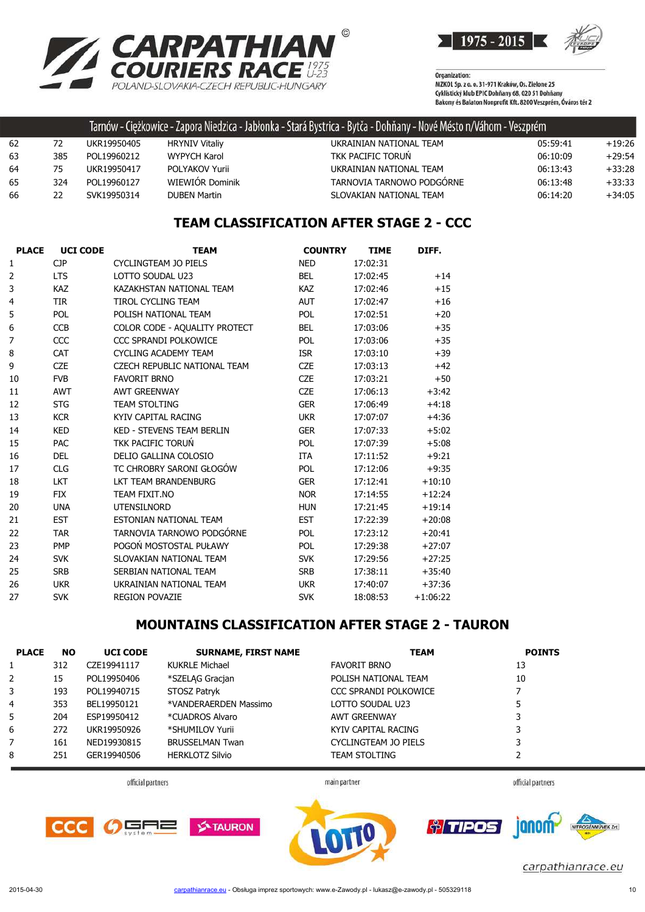



|    |     |             |                       | Tarnów - Ciężkowice - Zapora Niedzica - Jabłonka - Stará Bystrica - Bytča - Dohňany - Nové Mésto n/Váhom - Veszprém |          |          |
|----|-----|-------------|-----------------------|---------------------------------------------------------------------------------------------------------------------|----------|----------|
| 62 | 72  | UKR19950405 | <b>HRYNIV Vitaliy</b> | UKRAINIAN NATIONAL TEAM                                                                                             | 05:59:41 | $+19:26$ |
| 63 | 385 | POL19960212 | WYPYCH Karol          | TKK PACIFIC TORUN                                                                                                   | 06:10:09 | $+29:54$ |
| 64 | 75  | UKR19950417 | POLYAKOV Yurii        | UKRAINIAN NATIONAL TEAM                                                                                             | 06:13:43 | $+33:28$ |
| 65 | 324 | POL19960127 | WIEWIÓR Dominik       | TARNOVIA TARNOWO PODGÓRNE                                                                                           | 06:13:48 | $+33:33$ |
| 66 | 22  | SVK19950314 | DUBEN Martin          | SLOVAKIAN NATIONAL TEAM                                                                                             | 06:14:20 | $+34:05$ |

## **TEAM CLASSIFICATION AFTER STAGE 2 - CCC**

| <b>PLACE</b> | <b>UCI CODE</b> | <b>TEAM</b>                         | <b>COUNTRY</b> | <b>TIME</b> | DIFF.      |
|--------------|-----------------|-------------------------------------|----------------|-------------|------------|
| 1            | <b>CJP</b>      | <b>CYCLINGTEAM JO PIELS</b>         | <b>NED</b>     | 17:02:31    |            |
| 2            | <b>LTS</b>      | LOTTO SOUDAL U23                    | <b>BEL</b>     | 17:02:45    | $+14$      |
| 3            | <b>KAZ</b>      | KAZAKHSTAN NATIONAL TEAM            | <b>KAZ</b>     | 17:02:46    | $+15$      |
| 4            | <b>TIR</b>      | <b>TIROL CYCLING TEAM</b>           | <b>AUT</b>     | 17:02:47    | $+16$      |
| 5            | <b>POL</b>      | POLISH NATIONAL TEAM                | <b>POL</b>     | 17:02:51    | $+20$      |
| 6            | <b>CCB</b>      | COLOR CODE - AQUALITY PROTECT       | <b>BEL</b>     | 17:03:06    | $+35$      |
| 7            | CCC             | CCC SPRANDI POLKOWICE               | <b>POL</b>     | 17:03:06    | $+35$      |
| 8            | <b>CAT</b>      | <b>CYCLING ACADEMY TEAM</b>         | <b>ISR</b>     | 17:03:10    | $+39$      |
| 9            | <b>CZE</b>      | <b>CZECH REPUBLIC NATIONAL TEAM</b> | <b>CZE</b>     | 17:03:13    | $+42$      |
| 10           | <b>FVB</b>      | <b>FAVORIT BRNO</b>                 | <b>CZE</b>     | 17:03:21    | $+50$      |
| 11           | <b>AWT</b>      | <b>AWT GREENWAY</b>                 | <b>CZE</b>     | 17:06:13    | $+3:42$    |
| 12           | <b>STG</b>      | <b>TEAM STOLTING</b>                | <b>GER</b>     | 17:06:49    | $+4:18$    |
| 13           | <b>KCR</b>      | KYIV CAPITAL RACING                 | <b>UKR</b>     | 17:07:07    | $+4:36$    |
| 14           | <b>KED</b>      | <b>KED - STEVENS TEAM BERLIN</b>    | <b>GER</b>     | 17:07:33    | $+5:02$    |
| 15           | <b>PAC</b>      | <b>TKK PACIFIC TORUN</b>            | <b>POL</b>     | 17:07:39    | $+5:08$    |
| 16           | <b>DEL</b>      | DELIO GALLINA COLOSIO               | <b>ITA</b>     | 17:11:52    | $+9:21$    |
| 17           | <b>CLG</b>      | TC CHROBRY SARONI GŁOGÓW            | POL            | 17:12:06    | $+9:35$    |
| 18           | <b>LKT</b>      | LKT TEAM BRANDENBURG                | <b>GER</b>     | 17:12:41    | $+10:10$   |
| 19           | <b>FIX</b>      | TEAM FIXIT.NO                       | <b>NOR</b>     | 17:14:55    | $+12:24$   |
| 20           | <b>UNA</b>      | <b>UTENSILNORD</b>                  | <b>HUN</b>     | 17:21:45    | $+19:14$   |
| 21           | <b>EST</b>      | ESTONIAN NATIONAL TEAM              | <b>EST</b>     | 17:22:39    | $+20:08$   |
| 22           | <b>TAR</b>      | TARNOVIA TARNOWO PODGÓRNE           | <b>POL</b>     | 17:23:12    | $+20:41$   |
| 23           | <b>PMP</b>      | POGOŃ MOSTOSTAL PUŁAWY              | POL            | 17:29:38    | $+27:07$   |
| 24           | <b>SVK</b>      | SLOVAKIAN NATIONAL TEAM             | <b>SVK</b>     | 17:29:56    | $+27:25$   |
| 25           | <b>SRB</b>      | SERBIAN NATIONAL TEAM               | <b>SRB</b>     | 17:38:11    | $+35:40$   |
| 26           | <b>UKR</b>      | UKRAINIAN NATIONAL TEAM             | <b>UKR</b>     | 17:40:07    | $+37:36$   |
| 27           | <b>SVK</b>      | <b>REGION POVAZIE</b>               | <b>SVK</b>     | 18:08:53    | $+1:06:22$ |

## **MOUNTAINS CLASSIFICATION AFTER STAGE 2 - TAURON**

| <b>PLACE</b> | <b>NO</b> | <b>UCI CODE</b> | <b>SURNAME, FIRST NAME</b> | <b>TEAM</b>           | <b>POINTS</b> |
|--------------|-----------|-----------------|----------------------------|-----------------------|---------------|
|              | 312       | CZE19941117     | <b>KUKRLE Michael</b>      | <b>FAVORIT BRNO</b>   | 13            |
| 2            | 15        | POL19950406     | *SZELAG Gracian            | POLISH NATIONAL TEAM  | 10            |
| 3            | 193       | POL19940715     | STOSZ Patryk               | CCC SPRANDI POLKOWICE |               |
| 4            | 353       | BEL19950121     | *VANDERAERDEN Massimo      | LOTTO SOUDAL U23      |               |
| 5            | 204       | ESP19950412     | *CUADROS Alvaro            | <b>AWT GREENWAY</b>   | 3             |
| 6            | 272       | UKR19950926     | *SHUMILOV Yurii            | KYIV CAPITAL RACING   | 3             |
|              | 161       | NED19930815     | <b>BRUSSELMAN Twan</b>     | CYCLINGTEAM JO PIELS  | 3             |
| 8            | 251       | GER19940506     | <b>HERKLOTZ Silvio</b>     | <b>TEAM STOLTING</b>  |               |

official partners

main partner

official partners





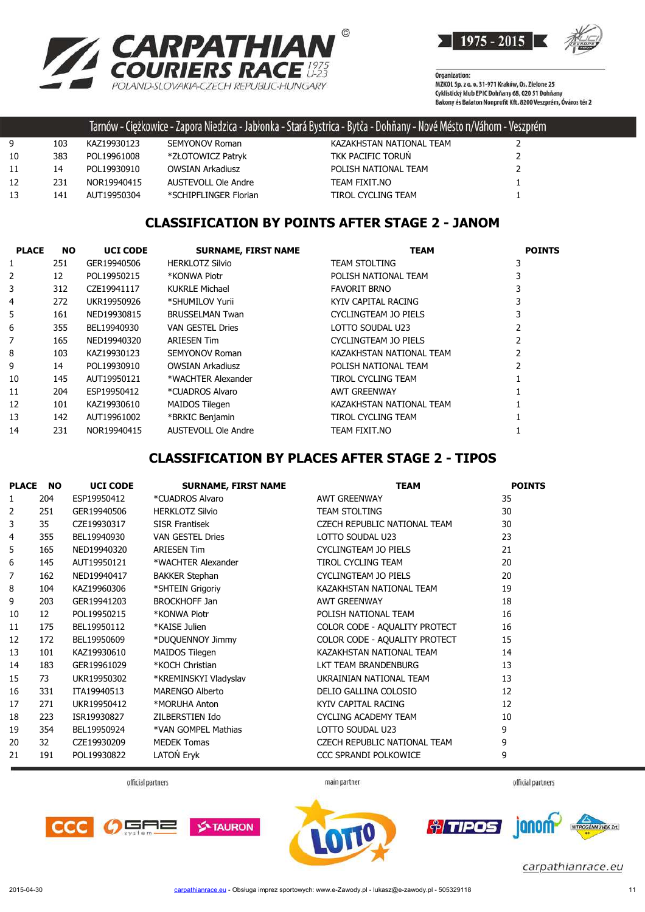



|    |     |             |                         | Tarnów - Ciężkowice - Zapora Niedzica - Jabłonka - Stará Bystrica - Bytča - Dohňany - Nové Mésto n/Váhom - Veszprém |  |
|----|-----|-------------|-------------------------|---------------------------------------------------------------------------------------------------------------------|--|
| 9  | 103 | KAZ19930123 | <b>SEMYONOV Roman</b>   | KAZAKHSTAN NATIONAL TEAM                                                                                            |  |
| 10 | 383 | POL19961008 | *ZŁOTOWICZ Patryk       | TKK PACIFIC TORUN                                                                                                   |  |
| 11 | 14  | POL19930910 | <b>OWSIAN Arkadiusz</b> | POLISH NATIONAL TEAM                                                                                                |  |
| 12 | 231 | NOR19940415 | AUSTEVOLL Ole Andre     | TEAM FIXIT.NO                                                                                                       |  |
| 13 | 141 | AUT19950304 | *SCHIPFLINGER Florian   | TIROL CYCLING TEAM                                                                                                  |  |

### **CLASSIFICATION BY POINTS AFTER STAGE 2 - JANOM**

| <b>PLACE</b> | <b>NO</b> | <b>UCI CODE</b> | <b>SURNAME, FIRST NAME</b> | <b>TEAM</b>               | <b>POINTS</b> |
|--------------|-----------|-----------------|----------------------------|---------------------------|---------------|
|              | 251       | GER19940506     | <b>HERKLOTZ Silvio</b>     | <b>TEAM STOLTING</b>      |               |
| 2            | 12        | POL19950215     | *KONWA Piotr               | POLISH NATIONAL TEAM      |               |
| 3            | 312       | CZE19941117     | <b>KUKRLE Michael</b>      | <b>FAVORIT BRNO</b>       |               |
| 4            | 272       | UKR19950926     | *SHUMILOV Yurii            | KYIV CAPITAL RACING       |               |
| 5            | 161       | NED19930815     | <b>BRUSSELMAN Twan</b>     | CYCLINGTEAM JO PIELS      |               |
| 6            | 355       | BEL19940930     | <b>VAN GESTEL Dries</b>    | LOTTO SOUDAL U23          |               |
|              | 165       | NED19940320     | <b>ARIESEN Tim</b>         | CYCLINGTEAM JO PIELS      |               |
| 8            | 103       | KAZ19930123     | SEMYONOV Roman             | KAZAKHSTAN NATIONAL TEAM  |               |
| 9            | 14        | POL19930910     | <b>OWSIAN Arkadiusz</b>    | POLISH NATIONAL TEAM      |               |
| 10           | 145       | AUT19950121     | *WACHTER Alexander         | TIROL CYCLING TEAM        |               |
| 11           | 204       | ESP19950412     | *CUADROS Alvaro            | <b>AWT GREENWAY</b>       |               |
| 12           | 101       | KAZ19930610     | MAIDOS Tilegen             | KAZAKHSTAN NATIONAL TEAM  |               |
| 13           | 142       | AUT19961002     | *BRKIC Benjamin            | <b>TIROL CYCLING TEAM</b> |               |
| 14           | 231       | NOR19940415     | <b>AUSTEVOLL Ole Andre</b> | TEAM FIXIT.NO             |               |

### **CLASSIFICATION BY PLACES AFTER STAGE 2 - TIPOS**

| <b>PLACE</b> | <b>NO</b> | <b>UCI CODE</b> | <b>SURNAME, FIRST NAME</b> | <b>TEAM</b>                         | <b>POINTS</b> |
|--------------|-----------|-----------------|----------------------------|-------------------------------------|---------------|
| 1            | 204       | ESP19950412     | *CUADROS Alvaro            | <b>AWT GREENWAY</b>                 | 35            |
| 2            | 251       | GER19940506     | <b>HERKLOTZ Silvio</b>     | <b>TEAM STOLTING</b>                | 30            |
| 3            | 35        | CZE19930317     | <b>SISR Frantisek</b>      | CZECH REPUBLIC NATIONAL TEAM        | 30            |
| 4            | 355       | BEL19940930     | VAN GESTEL Dries           | LOTTO SOUDAL U23                    | 23            |
| 5            | 165       | NED19940320     | <b>ARIESEN Tim</b>         | CYCLINGTEAM JO PIELS                | 21            |
| 6            | 145       | AUT19950121     | *WACHTER Alexander         | <b>TIROL CYCLING TEAM</b>           | 20            |
| 7            | 162       | NED19940417     | <b>BAKKER Stephan</b>      | CYCLINGTEAM JO PIELS                | 20            |
| 8            | 104       | KAZ19960306     | *SHTEIN Grigoriy           | KAZAKHSTAN NATIONAL TEAM            | 19            |
| 9            | 203       | GER19941203     | <b>BROCKHOFF Jan</b>       | <b>AWT GREENWAY</b>                 | 18            |
| 10           | 12        | POL19950215     | *KONWA Piotr               | POLISH NATIONAL TEAM                | 16            |
| 11           | 175       | BEL19950112     | *KAISE Julien              | COLOR CODE - AQUALITY PROTECT       | 16            |
| 12           | 172       | BEL19950609     | *DUQUENNOY Jimmy           | COLOR CODE - AQUALITY PROTECT       | 15            |
| 13           | 101       | KAZ19930610     | MAIDOS Tilegen             | KAZAKHSTAN NATIONAL TEAM            | 14            |
| 14           | 183       | GER19961029     | *KOCH Christian            | LKT TEAM BRANDENBURG                | 13            |
| 15           | 73        | UKR19950302     | *KREMINSKYI Vladyslav      | UKRAINIAN NATIONAL TEAM             | 13            |
| 16           | 331       | ITA19940513     | <b>MARENGO Alberto</b>     | DELIO GALLINA COLOSIO               | 12            |
| 17           | 271       | UKR19950412     | *MORUHA Anton              | KYIV CAPITAL RACING                 | 12            |
| 18           | 223       | ISR19930827     | ZILBERSTIEN Ido            | <b>CYCLING ACADEMY TEAM</b>         | 10            |
| 19           | 354       | BEL19950924     | *VAN GOMPEL Mathias        | LOTTO SOUDAL U23                    | 9             |
| 20           | 32        | CZE19930209     | <b>MEDEK Tomas</b>         | <b>CZECH REPUBLIC NATIONAL TEAM</b> | 9             |
| 21           | 191       | POL19930822     | LATOŃ Eryk                 | CCC SPRANDI POLKOWICE               | 9             |

official partners

main partner

official partners





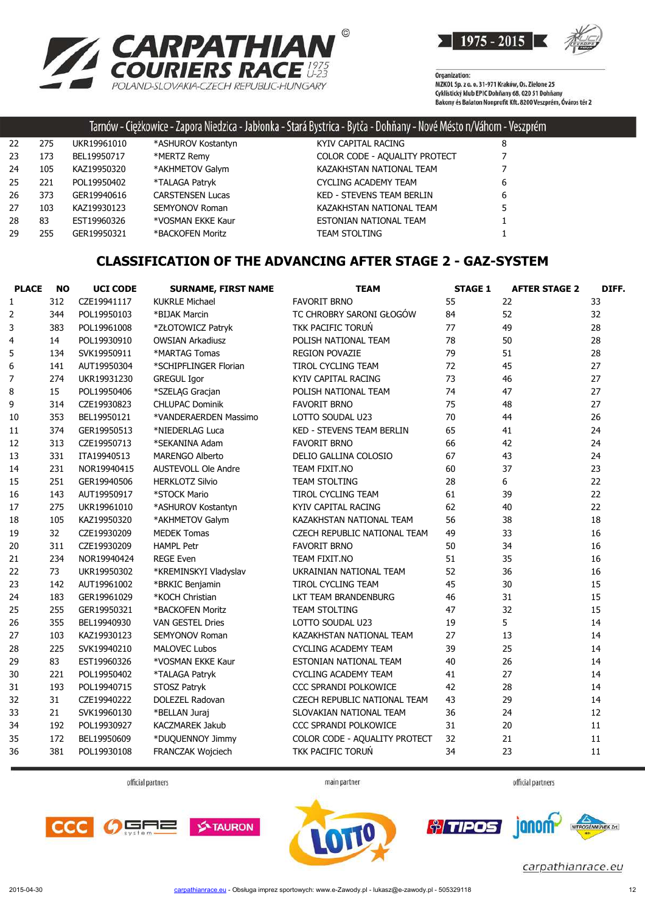



|    |     |             |                         | Tarnów - Ciężkowice - Zapora Niedzica - Jabłonka - Stará Bystrica - Bytča - Dohňany - Nové Mésto n/Váhom - Veszprém |   |  |
|----|-----|-------------|-------------------------|---------------------------------------------------------------------------------------------------------------------|---|--|
| 22 | 275 | UKR19961010 | *ASHUROV Kostantyn      | KYIV CAPITAL RACING                                                                                                 | 8 |  |
| 23 | 173 | BEL19950717 | *MERTZ Remy             | COLOR CODE - AQUALITY PROTECT                                                                                       |   |  |
| 24 | 105 | KAZ19950320 | *AKHMETOV Galym         | KAZAKHSTAN NATIONAL TEAM                                                                                            |   |  |
| 25 | 221 | POL19950402 | *TALAGA Patryk          | CYCLING ACADEMY TEAM                                                                                                | 6 |  |
| 26 | 373 | GER19940616 | <b>CARSTENSEN Lucas</b> | <b>KED - STEVENS TEAM BERLIN</b>                                                                                    | 6 |  |
| 27 | 103 | KAZ19930123 | <b>SEMYONOV Roman</b>   | KAZAKHSTAN NATIONAL TEAM                                                                                            |   |  |
| 28 | 83  | EST19960326 | *VOSMAN EKKE Kaur       | ESTONIAN NATIONAL TEAM                                                                                              |   |  |
| 29 | 255 | GER19950321 | *BACKOFEN Moritz        | TEAM STOLTING                                                                                                       |   |  |
|    |     |             |                         |                                                                                                                     |   |  |

## **CLASSIFICATION OF THE ADVANCING AFTER STAGE 2 - GAZ-SYSTEM**

| <b>PLACE</b>            | <b>NO</b> | <b>UCI CODE</b> | <b>SURNAME, FIRST NAME</b> | <b>TEAM</b>                      | <b>STAGE 1</b> | <b>AFTER STAGE 2</b> | DIFF. |
|-------------------------|-----------|-----------------|----------------------------|----------------------------------|----------------|----------------------|-------|
| $\mathbf{1}$            | 312       | CZE19941117     | <b>KUKRLE Michael</b>      | <b>FAVORIT BRNO</b>              | 55             | 22                   | 33    |
| $\overline{2}$          | 344       | POL19950103     | *BIJAK Marcin              | TC CHROBRY SARONI GŁOGÓW         | 84             | 52                   | 32    |
| 3                       | 383       | POL19961008     | *ZŁOTOWICZ Patryk          | TKK PACIFIC TORUŃ                | 77             | 49                   | 28    |
| $\overline{\mathbf{4}}$ | 14        | POL19930910     | <b>OWSIAN Arkadiusz</b>    | POLISH NATIONAL TEAM             | 78             | 50                   | 28    |
| 5                       | 134       | SVK19950911     | *MARTAG Tomas              | <b>REGION POVAZIE</b>            | 79             | 51                   | 28    |
| $\boldsymbol{6}$        | 141       | AUT19950304     | *SCHIPFLINGER Florian      | TIROL CYCLING TEAM               | 72             | 45                   | 27    |
| $\overline{7}$          | 274       | UKR19931230     | <b>GREGUL Igor</b>         | KYIV CAPITAL RACING              | 73             | 46                   | 27    |
| 8                       | 15        | POL19950406     | *SZELAG Gracjan            | POLISH NATIONAL TEAM             | 74             | 47                   | 27    |
| 9                       | 314       | CZE19930823     | <b>CHLUPAC Dominik</b>     | <b>FAVORIT BRNO</b>              | 75             | 48                   | 27    |
| 10                      | 353       | BEL19950121     | *VANDERAERDEN Massimo      | LOTTO SOUDAL U23                 | 70             | 44                   | 26    |
| 11                      | 374       | GER19950513     | *NIEDERLAG Luca            | <b>KED - STEVENS TEAM BERLIN</b> | 65             | 41                   | 24    |
| 12                      | 313       | CZE19950713     | *SEKANINA Adam             | <b>FAVORIT BRNO</b>              | 66             | 42                   | 24    |
| 13                      | 331       | ITA19940513     | <b>MARENGO Alberto</b>     | DELIO GALLINA COLOSIO            | 67             | 43                   | 24    |
| 14                      | 231       | NOR19940415     | <b>AUSTEVOLL Ole Andre</b> | TEAM FIXIT.NO                    | 60             | 37                   | 23    |
| 15                      | 251       | GER19940506     | <b>HERKLOTZ Silvio</b>     | <b>TEAM STOLTING</b>             | 28             | 6                    | 22    |
| 16                      | 143       | AUT19950917     | *STOCK Mario               | TIROL CYCLING TEAM               | 61             | 39                   | 22    |
| 17                      | 275       | UKR19961010     | *ASHUROV Kostantyn         | KYIV CAPITAL RACING              | 62             | 40                   | 22    |
| 18                      | 105       | KAZ19950320     | *AKHMETOV Galym            | KAZAKHSTAN NATIONAL TEAM         | 56             | 38                   | 18    |
| 19                      | 32        | CZE19930209     | <b>MEDEK Tomas</b>         | CZECH REPUBLIC NATIONAL TEAM     | 49             | 33                   | 16    |
| 20                      | 311       | CZE19930209     | <b>HAMPL Petr</b>          | <b>FAVORIT BRNO</b>              | 50             | 34                   | 16    |
| 21                      | 234       | NOR19940424     | <b>REGE Even</b>           | TEAM FIXIT.NO                    | 51             | 35                   | 16    |
| 22                      | 73        | UKR19950302     | *KREMINSKYI Vladyslav      | UKRAINIAN NATIONAL TEAM          | 52             | 36                   | 16    |
| 23                      | 142       | AUT19961002     | *BRKIC Benjamin            | <b>TIROL CYCLING TEAM</b>        | 45             | 30                   | 15    |
| 24                      | 183       | GER19961029     | *KOCH Christian            | LKT TEAM BRANDENBURG             | 46             | 31                   | 15    |
| 25                      | 255       | GER19950321     | *BACKOFEN Moritz           | <b>TEAM STOLTING</b>             | 47             | 32                   | 15    |
| 26                      | 355       | BEL19940930     | <b>VAN GESTEL Dries</b>    | LOTTO SOUDAL U23                 | 19             | 5                    | 14    |
| 27                      | 103       | KAZ19930123     | <b>SEMYONOV Roman</b>      | KAZAKHSTAN NATIONAL TEAM         | 27             | 13                   | 14    |
| 28                      | 225       | SVK19940210     | <b>MALOVEC Lubos</b>       | <b>CYCLING ACADEMY TEAM</b>      | 39             | 25                   | 14    |
| 29                      | 83        | EST19960326     | *VOSMAN EKKE Kaur          | ESTONIAN NATIONAL TEAM           | 40             | 26                   | 14    |
| 30                      | 221       | POL19950402     | *TALAGA Patryk             | <b>CYCLING ACADEMY TEAM</b>      | 41             | 27                   | 14    |
| 31                      | 193       | POL19940715     | STOSZ Patryk               | CCC SPRANDI POLKOWICE            | 42             | 28                   | 14    |
| 32                      | 31        | CZE19940222     | DOLEZEL Radovan            | CZECH REPUBLIC NATIONAL TEAM     | 43             | 29                   | 14    |
| 33                      | 21        | SVK19960130     | *BELLAN Juraj              | SLOVAKIAN NATIONAL TEAM          | 36             | 24                   | 12    |
| 34                      | 192       | POL19930927     | <b>KACZMAREK Jakub</b>     | CCC SPRANDI POLKOWICE            | 31             | 20                   | 11    |
| 35                      | 172       | BEL19950609     | *DUQUENNOY Jimmy           | COLOR CODE - AQUALITY PROTECT    | 32             | 21                   | 11    |
| 36                      | 381       | POL19930108     | FRANCZAK Wojciech          | TKK PACIFIC TORUN                | 34             | 23                   | 11    |
|                         |           |                 |                            |                                  |                |                      |       |

official partners

main partner



janom

*† TIPOS* 



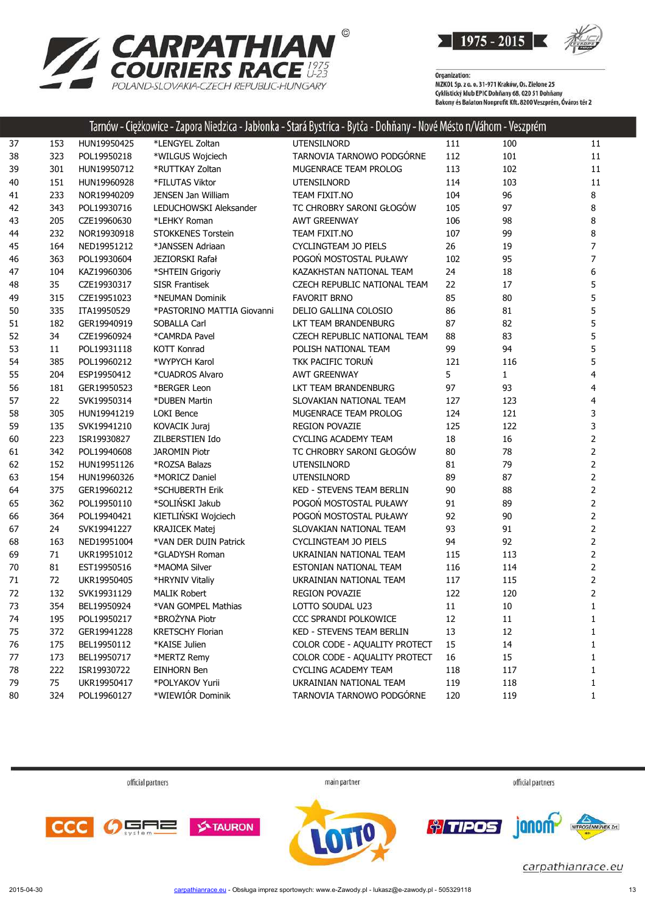



Organization:<br>MZKOL Sp. z o. o. 31-971 Kraków, Os. Zielone 25<br>MZKUL SLL: LL: FRIC D. bărev CO. 020 EL D. băr Cyklistický klub EPIC Dohňany 68, 020 51 Dohňany<br>Cyklistický klub EPIC Dohňany 68, 020 51 Dohňany<br>Bakony és Balaton Nonprofit Kft. 8200 Veszprém, Óváros tér 2

|        |     |             |                            | Tarnów - Ciężkowice - Zapora Niedzica - Jabłonka - Stará Bystrica - Bytća - Dohňany - Nové Mésto n/Váhom - Veszprém |     |              |                |
|--------|-----|-------------|----------------------------|---------------------------------------------------------------------------------------------------------------------|-----|--------------|----------------|
| 37     | 153 | HUN19950425 | *LENGYEL Zoltan            | <b>UTENSILNORD</b>                                                                                                  | 111 | 100          | 11             |
| 38     | 323 | POL19950218 | *WILGUS Wojciech           | TARNOVIA TARNOWO PODGÓRNE                                                                                           | 112 | 101          | 11             |
| 39     | 301 | HUN19950712 | *RUTTKAY Zoltan            | MUGENRACE TEAM PROLOG                                                                                               | 113 | 102          | 11             |
| 40     | 151 | HUN19960928 | *FILUTAS Viktor            | UTENSILNORD                                                                                                         | 114 | 103          | 11             |
| 41     | 233 | NOR19940209 | <b>JENSEN Jan William</b>  | TEAM FIXIT.NO                                                                                                       | 104 | 96           | 8              |
| 42     | 343 | POL19930716 | LEDUCHOWSKI Aleksander     | TC CHROBRY SARONI GŁOGÓW                                                                                            | 105 | 97           | 8              |
| 43     | 205 | CZE19960630 | *LEHKY Roman               | <b>AWT GREENWAY</b>                                                                                                 | 106 | 98           | 8              |
| 44     | 232 | NOR19930918 | <b>STOKKENES Torstein</b>  | TEAM FIXIT.NO                                                                                                       | 107 | 99           | 8              |
| 45     | 164 | NED19951212 | *JANSSEN Adriaan           | <b>CYCLINGTEAM JO PIELS</b>                                                                                         | 26  | 19           | $\overline{7}$ |
| 46     | 363 | POL19930604 | <b>JEZIORSKI Rafał</b>     | POGOŃ MOSTOSTAL PUŁAWY                                                                                              | 102 | 95           | $\overline{7}$ |
| 47     | 104 | KAZ19960306 | *SHTEIN Grigoriy           | KAZAKHSTAN NATIONAL TEAM                                                                                            | 24  | 18           | 6              |
| 48     | 35  | CZE19930317 | <b>SISR Frantisek</b>      | CZECH REPUBLIC NATIONAL TEAM                                                                                        | 22  | 17           | 5              |
| 49     | 315 | CZE19951023 | *NEUMAN Dominik            | <b>FAVORIT BRNO</b>                                                                                                 | 85  | 80           | 5              |
| 50     | 335 | ITA19950529 | *PASTORINO MATTIA Giovanni | DELIO GALLINA COLOSIO                                                                                               | 86  | 81           | 5              |
| 51     | 182 | GER19940919 | SOBALLA Carl               | LKT TEAM BRANDENBURG                                                                                                | 87  | 82           | 5              |
| 52     | 34  | CZE19960924 | *CAMRDA Pavel              | CZECH REPUBLIC NATIONAL TEAM                                                                                        | 88  | 83           | 5              |
| 53     | 11  | POL19931118 | <b>KOTT Konrad</b>         | POLISH NATIONAL TEAM                                                                                                | 99  | 94           | 5              |
| 54     | 385 | POL19960212 | *WYPYCH Karol              | TKK PACIFIC TORUN                                                                                                   | 121 | 116          | 5              |
| 55     | 204 | ESP19950412 | *CUADROS Alvaro            | <b>AWT GREENWAY</b>                                                                                                 | 5   | $\mathbf{1}$ | 4              |
| 56     | 181 | GER19950523 | *BERGER Leon               | LKT TEAM BRANDENBURG                                                                                                | 97  | 93           | 4              |
| 57     | 22  | SVK19950314 | *DUBEN Martin              | SLOVAKIAN NATIONAL TEAM                                                                                             | 127 | 123          | 4              |
| 58     | 305 | HUN19941219 | <b>LOKI Bence</b>          | MUGENRACE TEAM PROLOG                                                                                               | 124 | 121          | 3              |
| 59     | 135 | SVK19941210 | KOVACIK Juraj              | <b>REGION POVAZIE</b>                                                                                               | 125 | 122          | 3              |
| 60     | 223 | ISR19930827 | ZILBERSTIEN Ido            | <b>CYCLING ACADEMY TEAM</b>                                                                                         | 18  | 16           | $\overline{2}$ |
| 61     | 342 | POL19940608 | <b>JAROMIN Piotr</b>       | TC CHROBRY SARONI GŁOGÓW                                                                                            | 80  | 78           | $\overline{2}$ |
| 62     | 152 | HUN19951126 | *ROZSA Balazs              | <b>UTENSILNORD</b>                                                                                                  | 81  | 79           | 2              |
| 63     | 154 | HUN19960326 | *MORICZ Daniel             | <b>UTENSILNORD</b>                                                                                                  | 89  | 87           | $\overline{2}$ |
| 64     | 375 | GER19960212 | *SCHUBERTH Erik            | KED - STEVENS TEAM BERLIN                                                                                           | 90  | 88           | $\overline{2}$ |
| 65     | 362 | POL19950110 | *SOLIŃSKI Jakub            | POGOŃ MOSTOSTAL PUŁAWY                                                                                              | 91  | 89           | $\overline{2}$ |
| 66     | 364 | POL19940421 | KIETLIŃSKI Wojciech        | POGOŃ MOSTOSTAL PUŁAWY                                                                                              | 92  | 90           | $\overline{2}$ |
| 67     | 24  | SVK19941227 | <b>KRAJICEK Matej</b>      | SLOVAKIAN NATIONAL TEAM                                                                                             | 93  | 91           | $\overline{2}$ |
| 68     | 163 | NED19951004 | *VAN DER DUIN Patrick      | <b>CYCLINGTEAM JO PIELS</b>                                                                                         | 94  | 92           | 2              |
| 69     | 71  | UKR19951012 | *GLADYSH Roman             | UKRAINIAN NATIONAL TEAM                                                                                             | 115 | 113          | 2              |
| 70     | 81  | EST19950516 | *MAOMA Silver              | ESTONIAN NATIONAL TEAM                                                                                              | 116 | 114          | 2              |
| $71\,$ | 72  | UKR19950405 | *HRYNIV Vitaliy            | UKRAINIAN NATIONAL TEAM                                                                                             | 117 | 115          | 2              |
| 72     | 132 | SVK19931129 | <b>MALIK Robert</b>        | <b>REGION POVAZIE</b>                                                                                               | 122 | 120          | 2              |
| 73     | 354 | BEL19950924 | *VAN GOMPEL Mathias        | LOTTO SOUDAL U23                                                                                                    | 11  | 10           | $\mathbf{1}$   |
| 74     | 195 | POL19950217 | *BROŻYNA Piotr             | CCC SPRANDI POLKOWICE                                                                                               | 12  | 11           | 1              |
| 75     | 372 | GER19941228 | <b>KRETSCHY Florian</b>    | KED - STEVENS TEAM BERLIN                                                                                           | 13  | 12           | 1              |
| 76     | 175 | BEL19950112 | *KAISE Julien              | COLOR CODE - AQUALITY PROTECT                                                                                       | 15  | 14           | 1              |
| 77     | 173 | BEL19950717 | *MERTZ Remy                | COLOR CODE - AQUALITY PROTECT                                                                                       | 16  | 15           | 1              |
| 78     | 222 | ISR19930722 | <b>EINHORN Ben</b>         | CYCLING ACADEMY TEAM                                                                                                | 118 | 117          | 1              |
| 79     | 75  | UKR19950417 | *POLYAKOV Yurii            | UKRAINIAN NATIONAL TEAM                                                                                             | 119 | 118          | 1              |
| 80     | 324 | POL19960127 | *WIEWIÓR Dominik           | TARNOVIA TARNOWO PODGÓRNE                                                                                           | 120 | 119          | 1              |
|        |     |             |                            |                                                                                                                     |     |              |                |

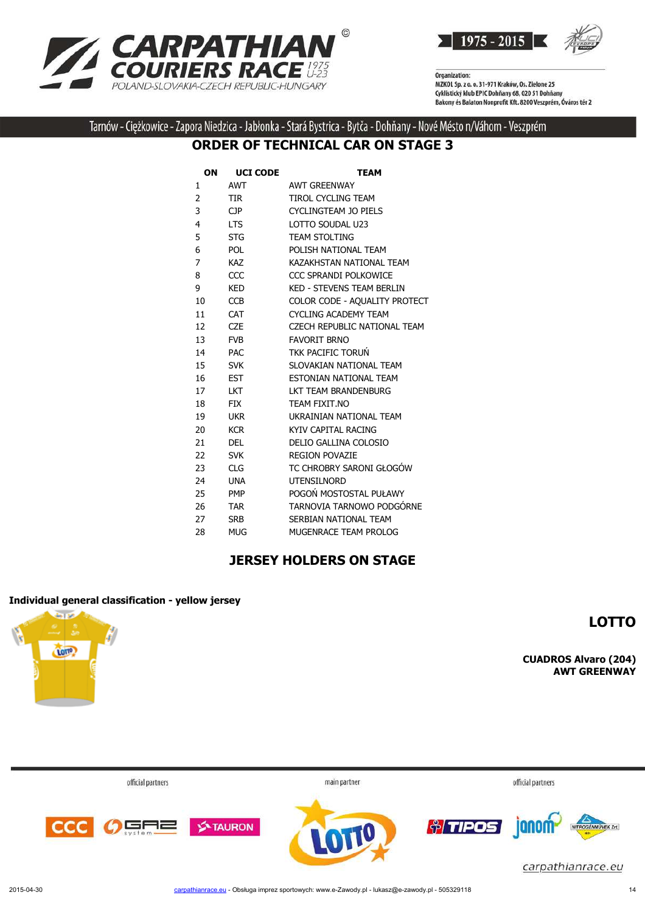



Tarnów - Ciężkowice - Zapora Niedzica - Jabłonka - Stará Bystrica - Bytča - Dohňany - Nové Mésto n/Váhom - Veszprém

#### **ORDER OF TECHNICAL CAR ON STAGE 3**

| ON | <b>UCI CODE</b> | <b>TEAM</b>                      |
|----|-----------------|----------------------------------|
| 1  | AWT             | <b>AWT GREENWAY</b>              |
| 2  | <b>TIR</b>      | <b>TIROL CYCLING TEAM</b>        |
| 3  | CP              | CYCLINGTEAM JO PIELS             |
| 4  | <b>LTS</b>      | LOTTO SOUDAL U23                 |
| 5  | <b>STG</b>      | <b>TEAM STOLTING</b>             |
| 6  | <b>POL</b>      | POLISH NATIONAL TEAM             |
| 7  | <b>KAZ</b>      | KAZAKHSTAN NATIONAL TEAM         |
| 8  | CCC             | CCC SPRANDI POLKOWICE            |
| 9  | KED             | <b>KED - STEVENS TEAM BERLIN</b> |
| 10 | <b>CCB</b>      | COLOR CODE - AQUALITY PROTECT    |
| 11 | <b>CAT</b>      | <b>CYCLING ACADEMY TEAM</b>      |
| 12 | <b>CZE</b>      | CZECH REPUBLIC NATIONAL TEAM     |
| 13 | <b>FVB</b>      | <b>FAVORIT BRNO</b>              |
| 14 | <b>PAC</b>      | TKK PACIFIC TORUN                |
| 15 | <b>SVK</b>      | SLOVAKIAN NATIONAL TEAM          |
| 16 | <b>EST</b>      | ESTONIAN NATIONAL TEAM           |
| 17 | <b>LKT</b>      | LKT TEAM BRANDENBURG             |
| 18 | <b>FIX</b>      | TEAM FIXIT.NO                    |
| 19 | <b>UKR</b>      | UKRAINIAN NATIONAL TEAM          |
| 20 | <b>KCR</b>      | KYIV CAPITAL RACING              |
| 21 | <b>DEL</b>      | DELIO GALLINA COLOSIO            |
| 22 | <b>SVK</b>      | <b>REGION POVAZIE</b>            |
| 23 | <b>CLG</b>      | TC CHROBRY SARONI GŁOGÓW         |
| 24 | <b>UNA</b>      | <b>UTENSILNORD</b>               |
| 25 | <b>PMP</b>      | POGOŃ MOSTOSTAL PUŁAWY           |
| 26 | <b>TAR</b>      | TARNOVIA TARNOWO PODGÓRNE        |
| 27 | <b>SRB</b>      | SERBIAN NATIONAL TEAM            |
| 28 | <b>MUG</b>      | MUGENRACE TEAM PROLOG            |

#### **JERSEY HOLDERS ON STAGE**

#### **Individual general classification - yellow jersey**



**CUADROS Alvaro (204)**

**LOTTO**

**AWT GREENWAY**